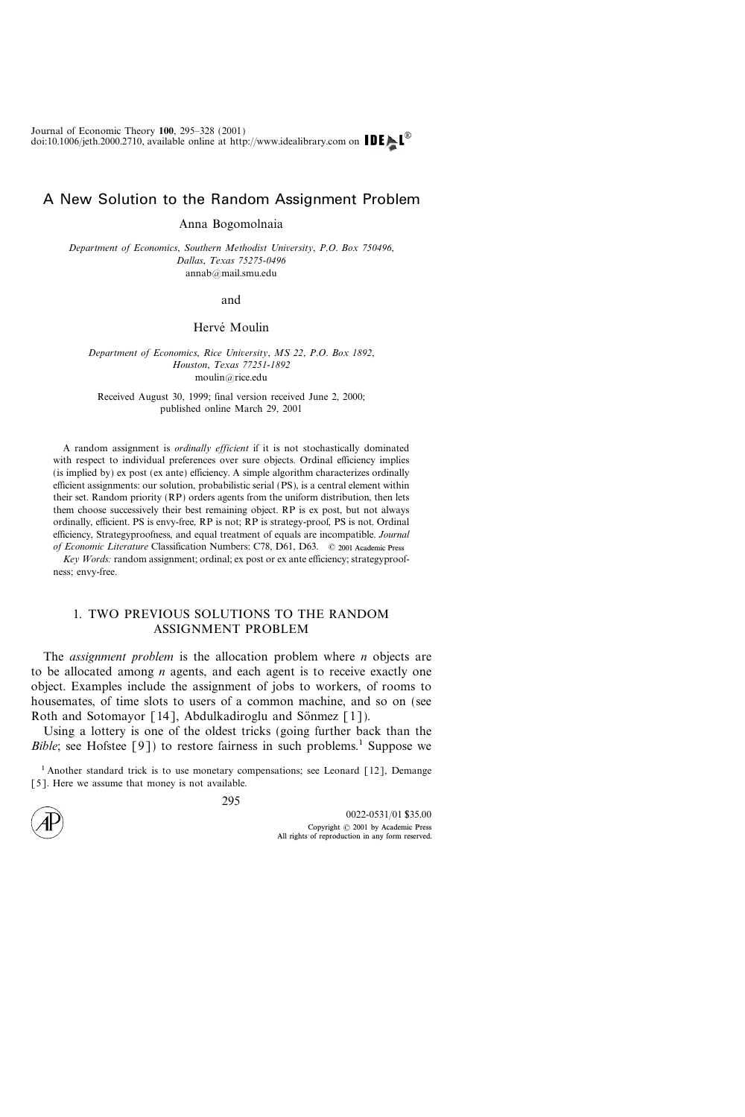# A New Solution to the Random Assignment Problem

Anna Bogomolnaia

Department of Economics, Southern Methodist University, P.O. Box 750496, Dallas, Texas 75275-0496 annab@mail.smu.edu

and

## Hervé Moulin

Department of Economics, Rice University, MS 22, P.O. Box 1892, Houston, Texas 77251-1892  $m$ oulin $@$ rice.edu

Received August 30, 1999; final version received June 2, 2000; published online March 29, 2001

A random assignment is ordinally efficient if it is not stochastically dominated with respect to individual preferences over sure objects. Ordinal efficiency implies (is implied by) ex post (ex ante) efficiency. A simple algorithm characterizes ordinally efficient assignments: our solution, probabilistic serial (PS), is a central element within their set. Random priority (RP) orders agents from the uniform distribution, then lets them choose successively their best remaining object. RP is ex post, but not always ordinally, efficient. PS is envy-free, RP is not; RP is strategy-proof, PS is not. Ordinal efficiency, Strategyproofness, and equal treatment of equals are incompatible. Journal of Economic Literature Classification Numbers: C78, D61, D63. © 2001 Academic Press

Key Words: random assignment; ordinal; ex post or ex ante efficiency; strategyproofness; envy-free.

# 1. TWO PREVIOUS SOLUTIONS TO THE RANDOM ASSIGNMENT PROBLEM

The *assignment problem* is the allocation problem where *n* objects are to be allocated among  $n$  agents, and each agent is to receive exactly one object. Examples include the assignment of jobs to workers, of rooms to housemates, of time slots to users of a common machine, and so on (see Roth and Sotomayor  $\lceil 14 \rceil$ , Abdulkadiroglu and Sönmez  $\lceil 1 \rceil$ ).

Using a lottery is one of the oldest tricks (going further back than the Bible; see Hofstee [9]) to restore fairness in such problems.<sup>1</sup> Suppose we

<sup>&</sup>lt;sup>1</sup> Another standard trick is to use monetary compensations; see Leonard [12], Demange [5]. Here we assume that money is not available.

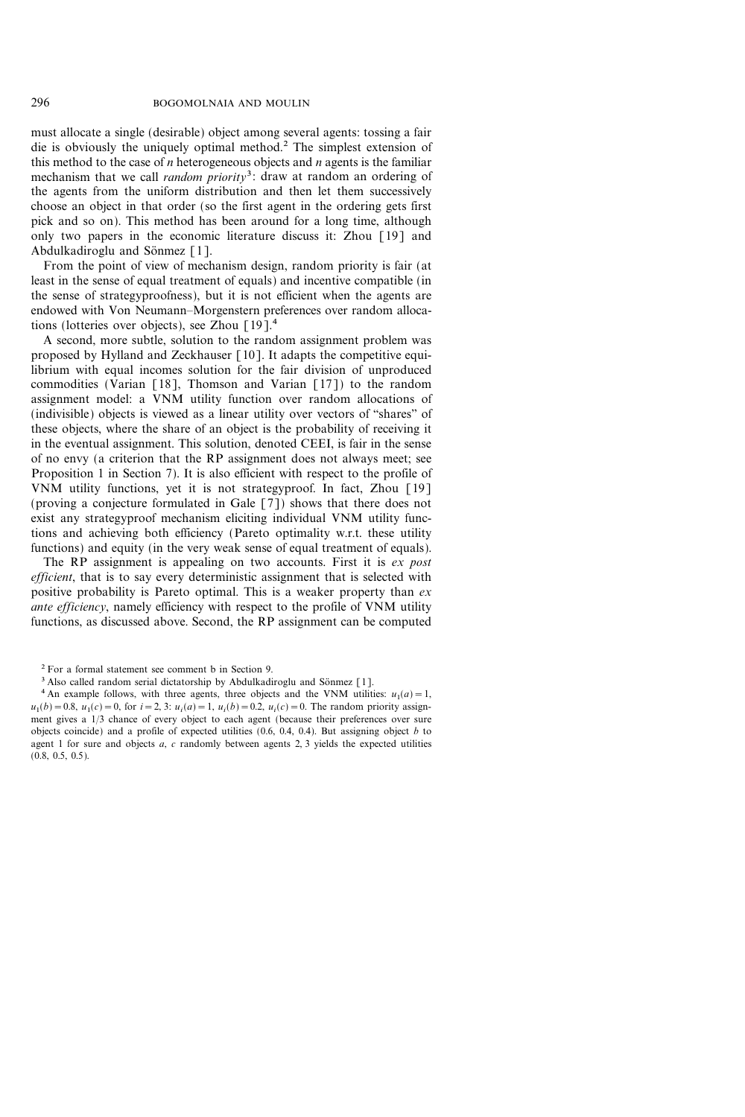must allocate a single (desirable) object among several agents: tossing a fair die is obviously the uniquely optimal method.<sup>2</sup> The simplest extension of this method to the case of *n* heterogeneous objects and *n* agents is the familiar mechanism that we call *random priority*<sup>3</sup>: draw at random an ordering of the agents from the uniform distribution and then let them successively choose an object in that order (so the first agent in the ordering gets first pick and so on). This method has been around for a long time, although only two papers in the economic literature discuss it: Zhou [19] and Abdulkadiroglu and Sönmez  $[1]$ .

From the point of view of mechanism design, random priority is fair (at least in the sense of equal treatment of equals) and incentive compatible (in the sense of strategyproofness), but it is not efficient when the agents are endowed with Von Neumann-Morgenstern preferences over random allocations (lotteries over objects), see Zhou  $[19]$ .<sup>4</sup>

A second, more subtle, solution to the random assignment problem was proposed by Hylland and Zeckhauser [10]. It adapts the competitive equilibrium with equal incomes solution for the fair division of unproduced commodities (Varian [18], Thomson and Varian [17]) to the random assignment model: a VNM utility function over random allocations of (indivisible) objects is viewed as a linear utility over vectors of "shares" of these objects, where the share of an object is the probability of receiving it in the eventual assignment. This solution, denoted CEEI, is fair in the sense of no envy (a criterion that the RP assignment does not always meet; see Proposition 1 in Section 7). It is also efficient with respect to the profile of VNM utility functions, yet it is not strategyproof. In fact, Zhou [19] (proving a conjecture formulated in Gale [7]) shows that there does not exist any strategyproof mechanism eliciting individual VNM utility functions and achieving both efficiency (Pareto optimality w.r.t. these utility functions) and equity (in the very weak sense of equal treatment of equals).

The RP assignment is appealing on two accounts. First it is ex post efficient, that is to say every deterministic assignment that is selected with positive probability is Pareto optimal. This is a weaker property than  $ex$ ante efficiency, namely efficiency with respect to the profile of VNM utility functions, as discussed above. Second, the RP assignment can be computed

<sup>&</sup>lt;sup>2</sup> For a formal statement see comment b in Section 9.

 $3$  Also called random serial dictatorship by Abdulkadiroglu and Sönmez [1].

<sup>&</sup>lt;sup>4</sup> An example follows, with three agents, three objects and the VNM utilities:  $u_1(a) = 1$ ,  $u_1(b)=0.8$ ,  $u_1(c)=0$ , for  $i=2, 3$ :  $u_i(a)=1$ ,  $u_i(b)=0.2$ ,  $u_i(c)=0$ . The random priority assignment gives a 1/3 chance of every object to each agent (because their preferences over sure objects coincide) and a profile of expected utilities  $(0.6, 0.4, 0.4)$ . But assigning object b to agent 1 for sure and objects  $a$ ,  $c$  randomly between agents 2, 3 yields the expected utilities (0.8, 0.5, 0.5).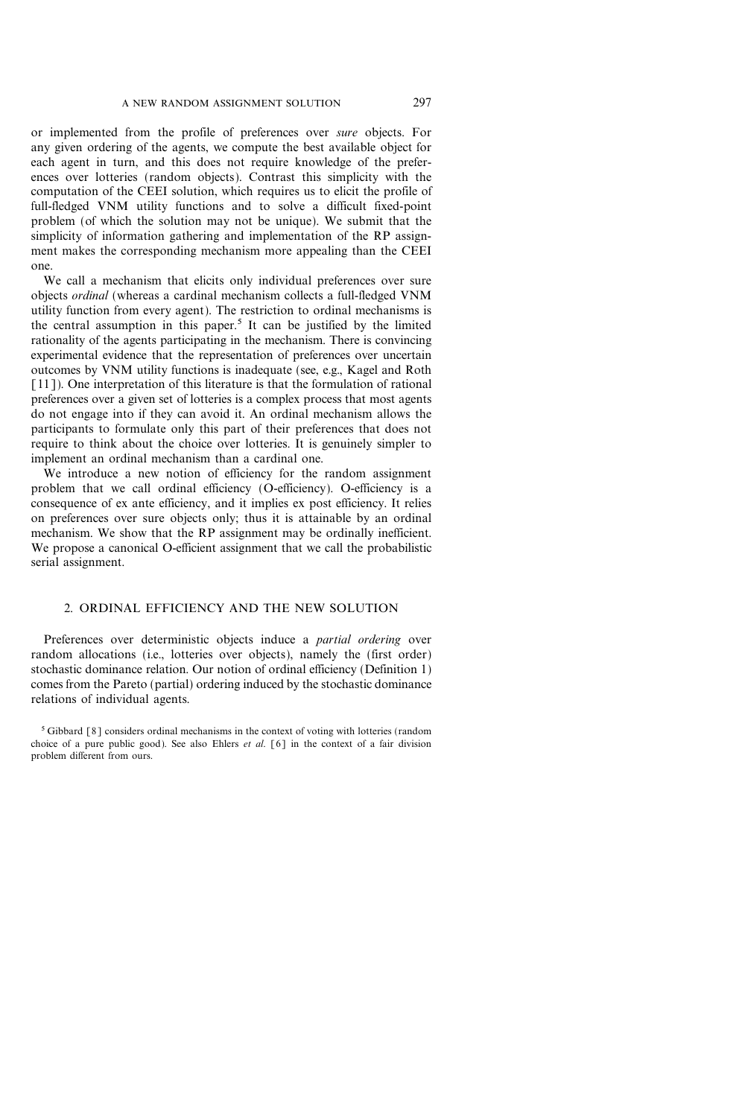or implemented from the profile of preferences over sure objects. For any given ordering of the agents, we compute the best available object for each agent in turn, and this does not require knowledge of the preferences over lotteries (random objects). Contrast this simplicity with the computation of the CEEI solution, which requires us to elicit the profile of full-fledged VNM utility functions and to solve a difficult fixed-point problem (of which the solution may not be unique). We submit that the simplicity of information gathering and implementation of the RP assignment makes the corresponding mechanism more appealing than the CEEI one.

We call a mechanism that elicits only individual preferences over sure objects ordinal (whereas a cardinal mechanism collects a full-fledged VNM utility function from every agent). The restriction to ordinal mechanisms is the central assumption in this paper.<sup>5</sup> It can be justified by the limited rationality of the agents participating in the mechanism. There is convincing experimental evidence that the representation of preferences over uncertain outcomes by VNM utility functions is inadequate (see, e.g., Kagel and Roth [11]). One interpretation of this literature is that the formulation of rational preferences over a given set of lotteries is a complex process that most agents do not engage into if they can avoid it. An ordinal mechanism allows the participants to formulate only this part of their preferences that does not require to think about the choice over lotteries. It is genuinely simpler to implement an ordinal mechanism than a cardinal one.

We introduce a new notion of efficiency for the random assignment problem that we call ordinal efficiency (O-efficiency). O-efficiency is a consequence of ex ante efficiency, and it implies ex post efficiency. It relies on preferences over sure objects only; thus it is attainable by an ordinal mechanism. We show that the RP assignment may be ordinally inefficient. We propose a canonical O-efficient assignment that we call the probabilistic serial assignment.

## 2. ORDINAL EFFICIENCY AND THE NEW SOLUTION

Preferences over deterministic objects induce a partial ordering over random allocations (i.e., lotteries over objects), namely the (first order) stochastic dominance relation. Our notion of ordinal efficiency (Definition 1) comes from the Pareto (partial) ordering induced by the stochastic dominance relations of individual agents.

 $5$  Gibbard [8] considers ordinal mechanisms in the context of voting with lotteries (random choice of a pure public good). See also Ehlers *et al.* [6] in the context of a fair division problem different from ours.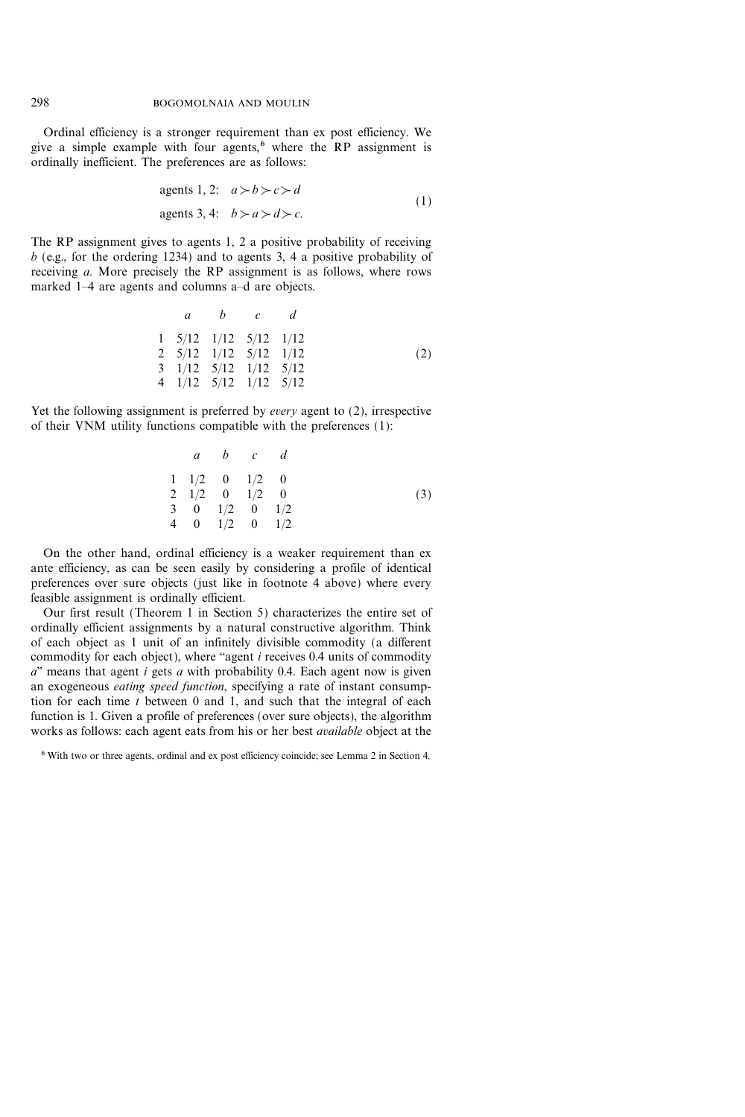Ordinal efficiency is a stronger requirement than ex post efficiency. We give a simple example with four agents,<sup>6</sup> where the RP assignment is ordinally inefficient. The preferences are as follows:

agents 1, 2: 
$$
a > b > c > d
$$
  
agents 3, 4:  $b > a > d > c$ . (1)

The RP assignment gives to agents 1, 2 a positive probability of receiving  $b$  (e.g., for the ordering 1234) and to agents 3, 4 a positive probability of receiving a. More precisely the RP assignment is as follows, where rows marked  $1-4$  are agents and columns a-d are objects.

|  | $a \quad b \quad c$                             |  |
|--|-------------------------------------------------|--|
|  | $1 \quad 5/12 \quad 1/12 \quad 5/12 \quad 1/12$ |  |
|  | $2 \quad 5/12 \quad 1/12 \quad 5/12 \quad 1/12$ |  |
|  | $3 \quad 1/12 \quad 5/12 \quad 1/12 \quad 5/12$ |  |
|  | 4 $1/12$ $5/12$ $1/12$ $5/12$                   |  |

Yet the following assignment is preferred by every agent to (2), irrespective of their VNM utility functions compatible with the preferences (1):

|                         | a b c d |  |
|-------------------------|---------|--|
| $1 \t1/2 \t0 \t1/2 \t0$ |         |  |
| 2 $1/2$ 0 $1/2$ 0       |         |  |
| 3 0 $1/2$ 0 $1/2$       |         |  |
| 4 0 $1/2$ 0 $1/2$       |         |  |

On the other hand, ordinal efficiency is a weaker requirement than ex ante efficiency, as can be seen easily by considering a profile of identical preferences over sure objects (just like in footnote 4 above) where every feasible assignment is ordinally efficient.

Our first result (Theorem 1 in Section 5) characterizes the entire set of ordinally efficient assignments by a natural constructive algorithm. Think of each object as 1 unit of an infinitely divisible commodity (a different commodity for each object), where "agent  $i$  receives 0.4 units of commodity  $a'$  means that agent *i* gets  $\overline{a}$  with probability 0.4. Each agent now is given an exogeneous eating speed function, specifying a rate of instant consumption for each time  $t$  between 0 and 1, and such that the integral of each function is 1. Given a profile of preferences (over sure objects), the algorithm works as follows: each agent eats from his or her best available object at the

<sup>6</sup> With two or three agents, ordinal and ex post efficiency coincide; see Lemma 2 in Section 4.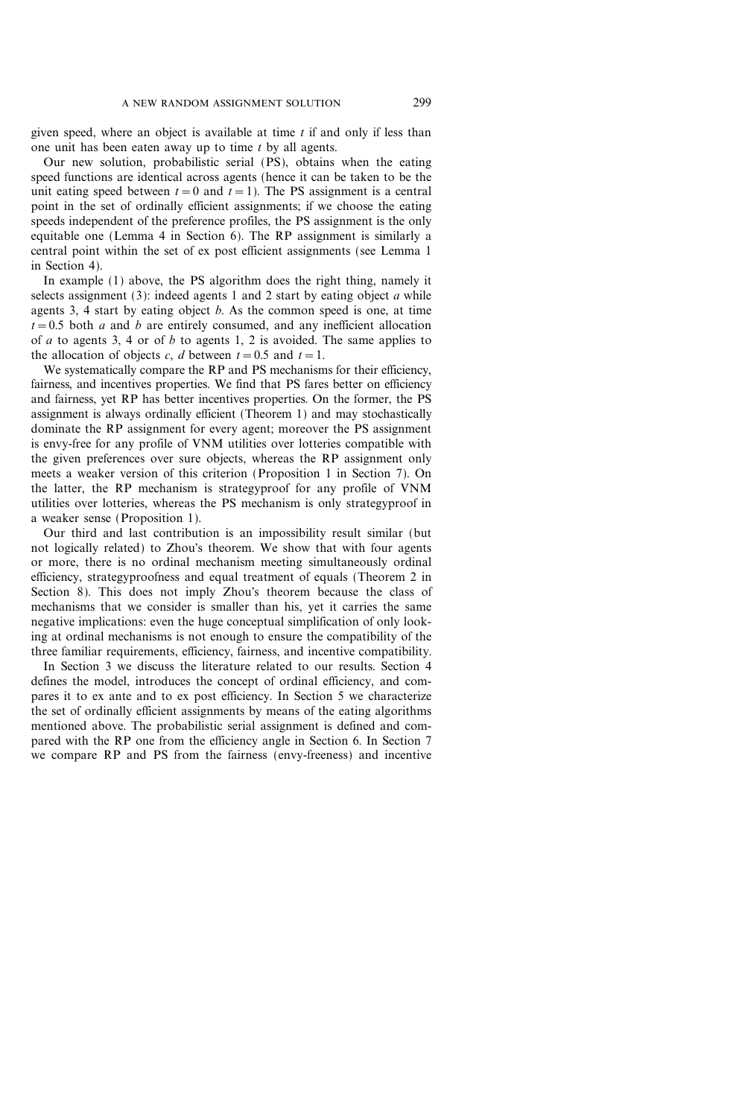given speed, where an object is available at time  $t$  if and only if less than one unit has been eaten away up to time  $t$  by all agents.

Our new solution, probabilistic serial (PS), obtains when the eating speed functions are identical across agents (hence it can be taken to be the unit eating speed between  $t=0$  and  $t=1$ ). The PS assignment is a central point in the set of ordinally efficient assignments; if we choose the eating speeds independent of the preference profiles, the PS assignment is the only equitable one (Lemma 4 in Section 6). The RP assignment is similarly a central point within the set of ex post efficient assignments (see Lemma 1 in Section 4).

In example (1) above, the PS algorithm does the right thing, namely it selects assignment  $(3)$ : indeed agents 1 and 2 start by eating object *a* while agents 3, 4 start by eating object  $b$ . As the common speed is one, at time  $t=0.5$  both a and b are entirely consumed, and any inefficient allocation of a to agents 3, 4 or of b to agents 1, 2 is avoided. The same applies to the allocation of objects c, d between  $t=0.5$  and  $t=1$ .

We systematically compare the RP and PS mechanisms for their efficiency, fairness, and incentives properties. We find that PS fares better on efficiency and fairness, yet RP has better incentives properties. On the former, the PS assignment is always ordinally efficient (Theorem 1) and may stochastically dominate the RP assignment for every agent; moreover the PS assignment is envy-free for any profile of VNM utilities over lotteries compatible with the given preferences over sure objects, whereas the RP assignment only meets a weaker version of this criterion (Proposition 1 in Section 7). On the latter, the RP mechanism is strategyproof for any profile of VNM utilities over lotteries, whereas the PS mechanism is only strategyproof in a weaker sense (Proposition 1).

Our third and last contribution is an impossibility result similar (but not logically related) to Zhou's theorem. We show that with four agents or more, there is no ordinal mechanism meeting simultaneously ordinal efficiency, strategyproofness and equal treatment of equals (Theorem 2 in Section 8). This does not imply Zhou's theorem because the class of mechanisms that we consider is smaller than his, yet it carries the same negative implications: even the huge conceptual simplification of only looking at ordinal mechanisms is not enough to ensure the compatibility of the three familiar requirements, efficiency, fairness, and incentive compatibility.

In Section 3 we discuss the literature related to our results. Section 4 defines the model, introduces the concept of ordinal efficiency, and compares it to ex ante and to ex post efficiency. In Section 5 we characterize the set of ordinally efficient assignments by means of the eating algorithms mentioned above. The probabilistic serial assignment is defined and compared with the RP one from the efficiency angle in Section 6. In Section 7 we compare RP and PS from the fairness (envy-freeness) and incentive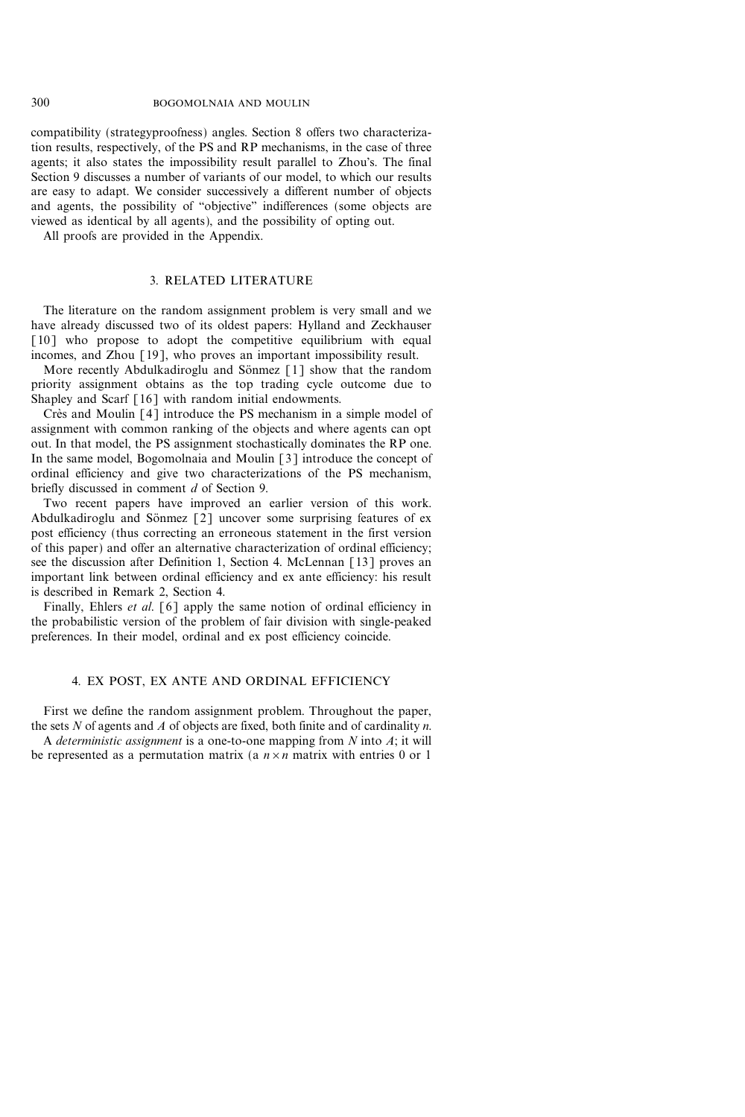compatibility (strategyproofness) angles. Section 8 offers two characterization results, respectively, of the PS and RP mechanisms, in the case of three agents; it also states the impossibility result parallel to Zhou's. The final Section 9 discusses a number of variants of our model, to which our results are easy to adapt. We consider successively a different number of objects and agents, the possibility of "objective" indifferences (some objects are viewed as identical by all agents), and the possibility of opting out.

All proofs are provided in the Appendix.

## 3. RELATED LITERATURE

The literature on the random assignment problem is very small and we have already discussed two of its oldest papers: Hylland and Zeckhauser [10] who propose to adopt the competitive equilibrium with equal incomes, and Zhou [19], who proves an important impossibility result.

More recently Abdulkadiroglu and Sönmez  $\lceil 1 \rceil$  show that the random priority assignment obtains as the top trading cycle outcome due to Shapley and Scarf [16] with random initial endowments.

Crès and Moulin  $\lceil 4 \rceil$  introduce the PS mechanism in a simple model of assignment with common ranking of the objects and where agents can opt out. In that model, the PS assignment stochastically dominates the RP one. In the same model, Bogomolnaia and Moulin [3] introduce the concept of ordinal efficiency and give two characterizations of the PS mechanism, briefly discussed in comment d of Section 9.

Two recent papers have improved an earlier version of this work. Abdulkadiroglu and Sönmez  $[2]$  uncover some surprising features of expost efficiency (thus correcting an erroneous statement in the first version of this paper) and offer an alternative characterization of ordinal efficiency; see the discussion after Definition 1, Section 4. McLennan [13] proves an important link between ordinal efficiency and ex ante efficiency: his result is described in Remark 2, Section 4.

Finally, Ehlers et al. [6] apply the same notion of ordinal efficiency in the probabilistic version of the problem of fair division with single-peaked preferences. In their model, ordinal and ex post efficiency coincide.

### 4. EX POST, EX ANTE AND ORDINAL EFFICIENCY

First we define the random assignment problem. Throughout the paper, the sets  $N$  of agents and  $A$  of objects are fixed, both finite and of cardinality  $n$ .

A deterministic assignment is a one-to-one mapping from  $N$  into  $A$ ; it will be represented as a permutation matrix (a  $n \times n$  matrix with entries 0 or 1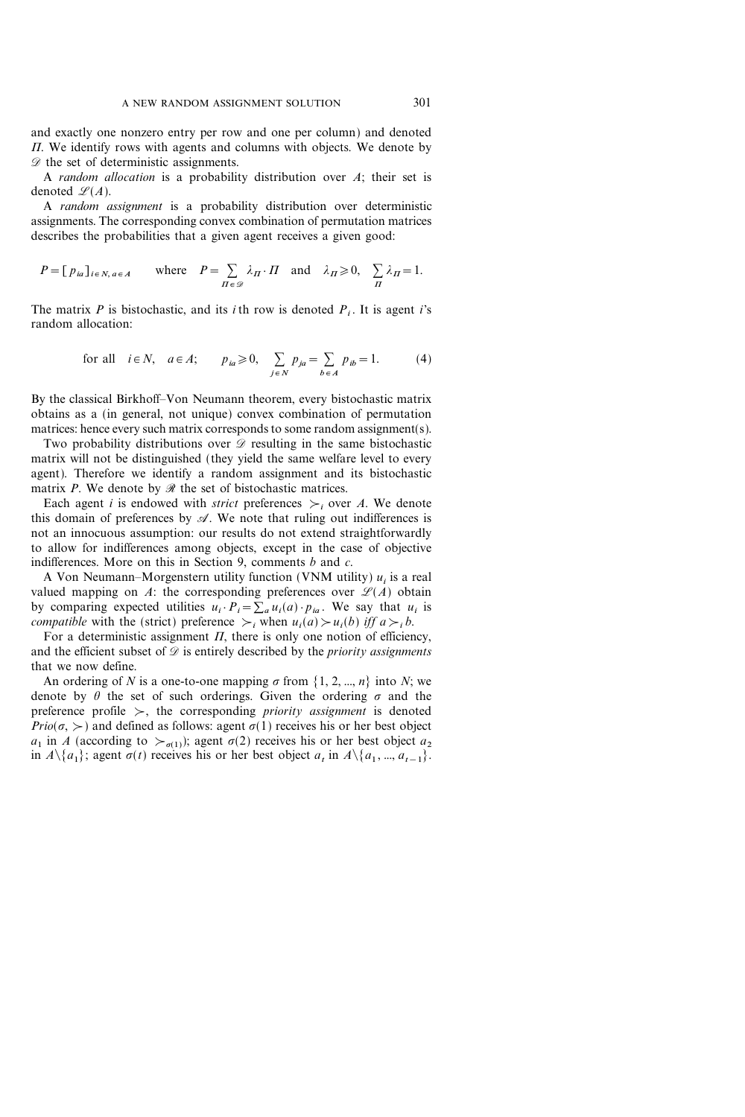and exactly one nonzero entry per row and one per column) and denoted  $\Pi$ . We identify rows with agents and columns with objects. We denote by  $\mathscr{D}$  the set of deterministic assignments.

A random allocation is a probability distribution over  $A$ ; their set is denoted  $\mathcal{L}(A)$ .

A random assignment is a probability distribution over deterministic assignments. The corresponding convex combination of permutation matrices describes the probabilities that a given agent receives a given good:

$$
P = [p_{ia}]_{i \in N, a \in A} \quad \text{where} \quad P = \sum_{\Pi \in \mathcal{D}} \lambda_{\Pi} \cdot \Pi \quad \text{and} \quad \lambda_{\Pi} \ge 0, \quad \sum_{\Pi} \lambda_{\Pi} = 1.
$$

The matrix P is bistochastic, and its *i*th row is denoted  $P_i$ . It is agent *i*'s random allocation:

for all 
$$
i \in N
$$
,  $a \in A$ ;  $p_{ia} \ge 0$ ,  $\sum_{j \in N} p_{ja} = \sum_{b \in A} p_{ib} = 1$ . (4)

By the classical Birkhoff-Von Neumann theorem, every bistochastic matrix obtains as a (in general, not unique) convex combination of permutation matrices: hence every such matrix corresponds to some random assignment(s).

Two probability distributions over  $\mathscr D$  resulting in the same bistochastic matrix will not be distinguished (they yield the same welfare level to every agent). Therefore we identify a random assignment and its bistochastic matrix  $P$ . We denote by  $\mathcal{R}$  the set of bistochastic matrices.

Each agent *i* is endowed with *strict* preferences  $\geq$  over A. We denote this domain of preferences by  $\mathscr A$ . We note that ruling out indifferences is not an innocuous assumption: our results do not extend straightforwardly to allow for indifferences among objects, except in the case of objective indifferences. More on this in Section 9, comments  $b$  and  $c$ .

A Von Neumann–Morgenstern utility function (VNM utility)  $u_i$  is a real valued mapping on A: the corresponding preferences over  $\mathcal{L}(A)$  obtain by comparing expected utilities  $u_i \cdot P_i = \sum_a u_i(a) \cdot p_{ia}$ . We say that  $u_i$  is compatible with the (strict) preference  $\gt_i$ , when  $u_i(a) > u_i(b)$  iff  $a > b$ .

For a deterministic assignment  $\Pi$ , there is only one notion of efficiency, and the efficient subset of  $\mathscr D$  is entirely described by the *priority assignments* that we now define.

An ordering of N is a one-to-one mapping  $\sigma$  from  $\{1, 2, ..., n\}$  into N; we denote by  $\theta$  the set of such orderings. Given the ordering  $\sigma$  and the preference profile  $>$ , the corresponding *priority assignment* is denoted  $Prio(\sigma, \gt)$  and defined as follows: agent  $\sigma(1)$  receives his or her best object  $a_1$  in A (according to  $\succ_{\sigma(1)}$ ); agent  $\sigma(2)$  receives his or her best object  $a_2$ in  $A \setminus \{a_1\}$ ; agent  $\sigma(t)$  receives his or her best object  $a_t$  in  $A \setminus \{a_1, ..., a_{t-1}\}.$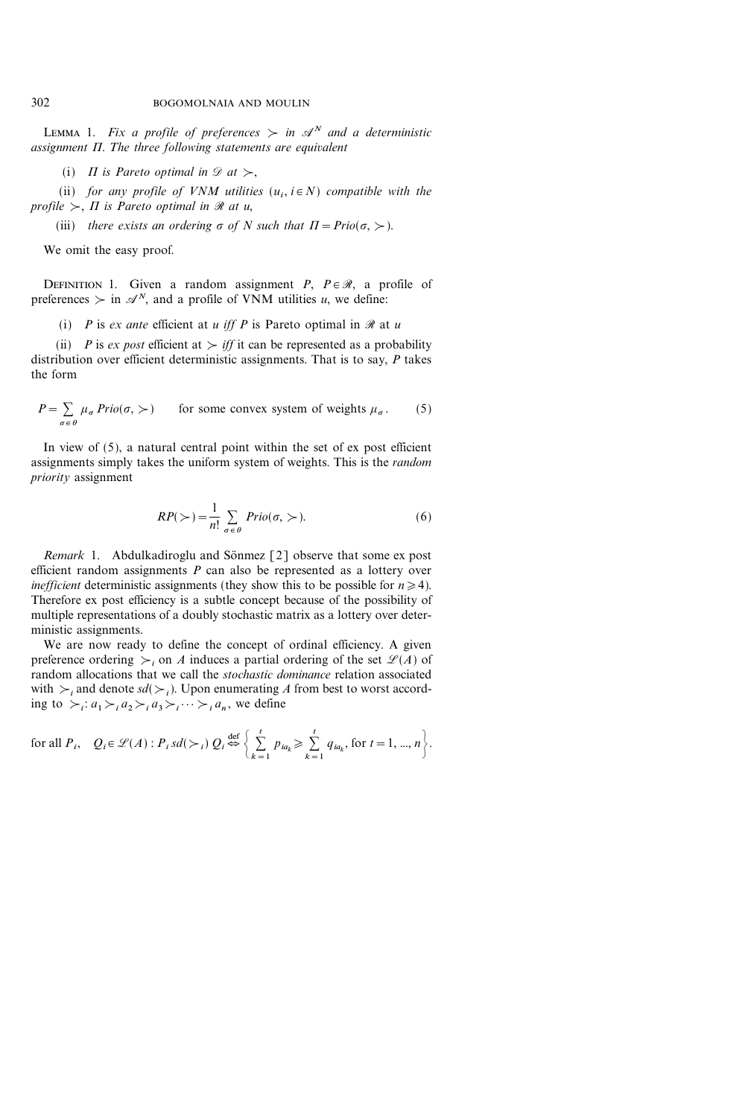LEMMA 1. Fix a profile of preferences  $>$  in  $\mathscr{A}^N$  and a deterministic assignment  $\Pi$ . The three following statements are equivalent

(i)  $\Pi$  is Pareto optimal in  $\mathscr{D}$  at  $\succ$ ,

(ii) for any profile of VNM utilities  $(u_i, i \in N)$  compatible with the profile  $\succ$ ,  $\Pi$  is Pareto optimal in  $\mathcal R$  at u,

(iii) there exists an ordering  $\sigma$  of N such that  $\Pi = Prio(\sigma, >)$ .

We omit the easy proof.

DEFINITION 1. Given a random assignment P,  $P \in \mathcal{R}$ , a profile of preferences  $>$  in  $\mathscr{A}^N$ , and a profile of VNM utilities u, we define:

(i) P is ex ante efficient at u iff P is Pareto optimal in  $\mathcal{R}$  at u

(ii) P is ex post efficient at  $\frac{f}{f}$  it can be represented as a probability distribution over efficient deterministic assignments. That is to say, P takes the form

$$
P = \sum_{\sigma \in \theta} \mu_{\sigma} Prio(\sigma, >) \qquad \text{for some convex system of weights } \mu_{\sigma}. \tag{5}
$$

In view of (5), a natural central point within the set of ex post efficient assignments simply takes the uniform system of weights. This is the random priority assignment

$$
RP(\gt) = \frac{1}{n!} \sum_{\sigma \in \theta} Prio(\sigma, \gt). \tag{6}
$$

*Remark* 1. Abdulkadiroglu and Sönmez [2] observe that some ex post efficient random assignments  $P$  can also be represented as a lottery over *inefficient* deterministic assignments (they show this to be possible for  $n \ge 4$ ). Therefore ex post efficiency is a subtle concept because of the possibility of multiple representations of a doubly stochastic matrix as a lottery over deterministic assignments.

We are now ready to define the concept of ordinal efficiency. A given preference ordering  $\sum_i$  on A induces a partial ordering of the set  $\mathcal{L}(A)$  of random allocations that we call the stochastic dominance relation associated with  $\sum_i$  and denote  $sd(\sum_i)$ . Upon enumerating A from best to worst according to  $\succ_i$ :  $a_1 \succ_i a_2 \succ_i a_3 \succ_i \cdots \succ_i a_n$ , we define

for all 
$$
P_i
$$
,  $Q_i \in \mathcal{L}(A): P_i sd(\succ_i) Q_i \stackrel{\text{def}}{\Leftrightarrow} \left\{ \sum_{k=1}^t p_{ia_k} \geq \sum_{k=1}^t q_{ia_k}, \text{ for } t = 1, ..., n \right\}.$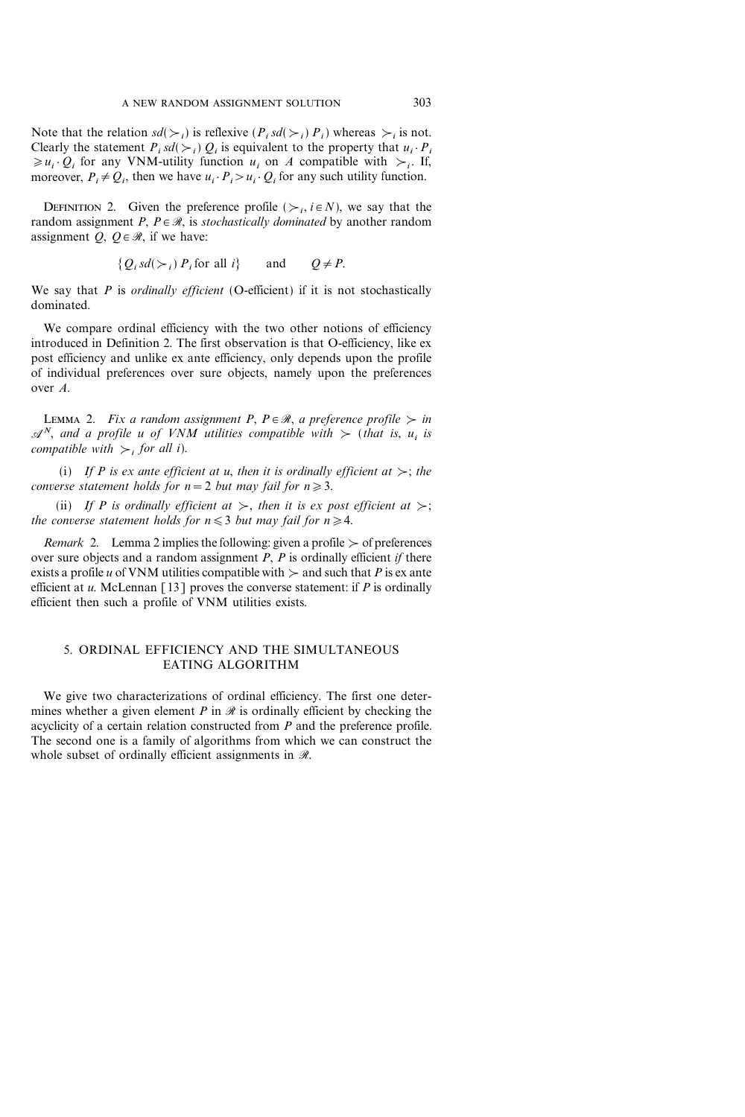Note that the relation  $sd(\succ_i)$  is reflexive  $(P_i sd(\succ_i) P_i)$  whereas  $\succ_i$  is not. Clearly the statement  $P_i sd(\succ_i) Q_i$  is equivalent to the property that  $u_i \cdot P_i$  $\geq u_i \cdot Q_i$  for any VNM-utility function  $u_i$  on A compatible with  $\geq i$ . If, moreover,  $P_i \neq Q_i$ , then we have  $u_i \cdot P_i > u_i \cdot Q_i$  for any such utility function.

DEFINITION 2. Given the preference profile  $(\succ_i, i \in N)$ , we say that the random assignment  $P, P \in \mathcal{R}$ , is stochastically dominated by another random assignment  $Q, Q \in \mathcal{R}$ , if we have:

$$
\{Q_i\, sd(\succ_i) \, P_i \,\text{for all } i\} \qquad \text{and} \qquad Q \neq P.
$$

We say that  $P$  is ordinally efficient (O-efficient) if it is not stochastically dominated.

We compare ordinal efficiency with the two other notions of efficiency introduced in Definition 2. The first observation is that O-efficiency, like ex post efficiency and unlike ex ante efficiency, only depends upon the profile of individual preferences over sure objects, namely upon the preferences over A.

LEMMA 2. Fix a random assignment P,  $P \in \mathcal{R}$ , a preference profile  $> in$  $\mathscr{A}^N$ , and a profile u of VNM utilities compatible with  $\succ$  (that is,  $u_i$  is compatible with  $\gt_i$  for all i).

(i) If P is ex ante efficient at u, then it is ordinally efficient at  $\succ$ ; the converse statement holds for  $n=2$  but may fail for  $n\geq 3$ .

(ii) If P is ordinally efficient at  $\geq$ , then it is ex post efficient at  $\geq$ ; the converse statement holds for  $n \leq 3$  but may fail for  $n \geq 4$ .

*Remark* 2. Lemma 2 implies the following: given a profile  $\geq$  of preferences over sure objects and a random assignment  $P$ ,  $P$  is ordinally efficient if there exists a profile u of VNM utilities compatible with  $\geq$  and such that P is ex ante efficient at u. McLennan [13] proves the converse statement: if  $P$  is ordinally efficient then such a profile of VNM utilities exists.

## 5. ORDINAL EFFICIENCY AND THE SIMULTANEOUS EATING ALGORITHM

We give two characterizations of ordinal efficiency. The first one determines whether a given element P in  $\mathcal{R}$  is ordinally efficient by checking the acyclicity of a certain relation constructed from P and the preference profile. The second one is a family of algorithms from which we can construct the whole subset of ordinally efficient assignments in  $\mathcal{R}$ .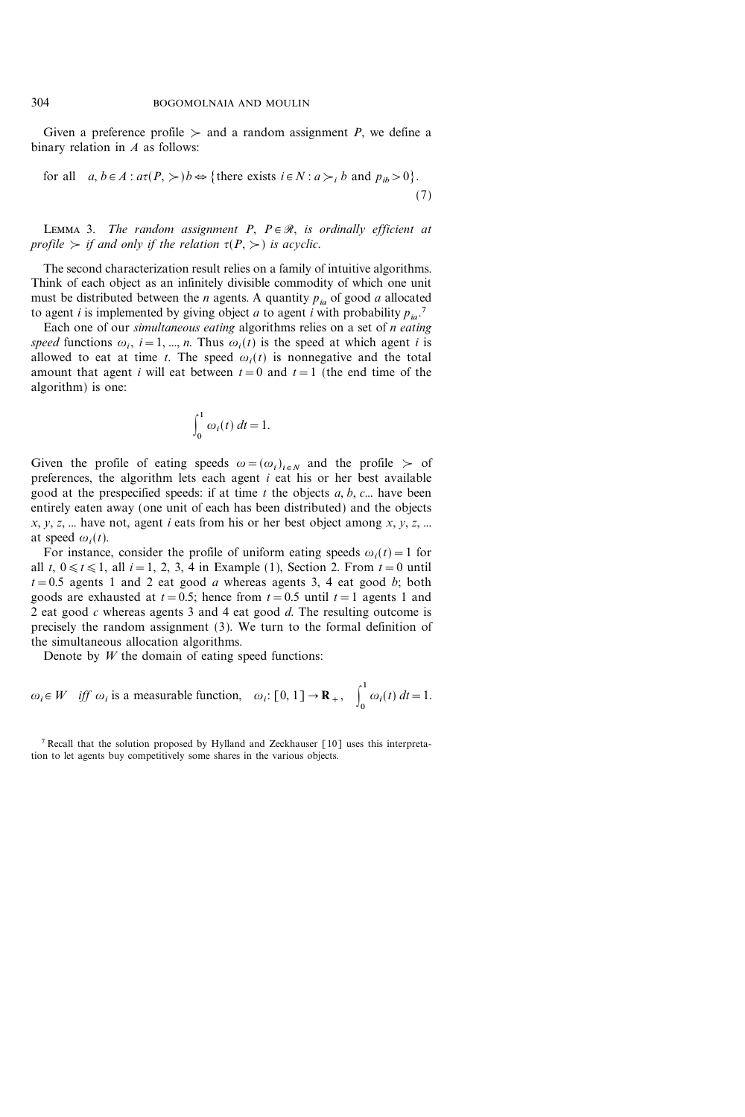Given a preference profile  $\ge$  and a random assignment P, we define a binary relation in  $A$  as follows:

for all 
$$
a, b \in A : ar(P, >) b \Leftrightarrow \{\text{there exists } i \in N : a >_i b \text{ and } p_{ib} > 0\}.
$$
 (7)

LEMMA 3. The random assignment P,  $P \in \mathcal{R}$ , is ordinally efficient at profile  $>$  if and only if the relation  ${\tau(P, >)}$  is acyclic.

The second characterization result relies on a family of intuitive algorithms. Think of each object as an infinitely divisible commodity of which one unit must be distributed between the *n* agents. A quantity  $p_{ia}$  of good *a* allocated to agent *i* is implemented by giving object *a* to agent *i* with probability  $p_{ia}$ .<sup>7</sup>

Each one of our simultaneous eating algorithms relies on a set of n eating speed functions  $\omega_i$ ,  $i=1, ..., n$ . Thus  $\omega_i(t)$  is the speed at which agent i is allowed to eat at time t. The speed  $\omega_i(t)$  is nonnegative and the total amount that agent *i* will eat between  $t=0$  and  $t=1$  (the end time of the algorithm) is one:

$$
\int_0^1 \omega_i(t) \, dt = 1.
$$

Given the profile of eating speeds  $\omega = (\omega_i)_{i \in N}$  and the profile  $>$  of preferences, the algorithm lets each agent  $i$  eat his or her best available good at the prespecified speeds: if at time  $t$  the objects  $a, b, c$ ... have been entirely eaten away (one unit of each has been distributed) and the objects  $x, y, z, ...$  have not, agent *i* eats from his or her best object among  $x, y, z, ...$ at speed  $\omega_i(t)$ .

For instance, consider the profile of uniform eating speeds  $\omega_i(t)=1$  for all t,  $0 \le t \le 1$ , all  $i=1, 2, 3, 4$  in Example (1), Section 2. From  $t=0$  until  $t=0.5$  agents 1 and 2 eat good a whereas agents 3, 4 eat good b; both goods are exhausted at  $t=0.5$ ; hence from  $t=0.5$  until  $t=1$  agents 1 and 2 eat good  $c$  whereas agents 3 and 4 eat good  $d$ . The resulting outcome is precisely the random assignment (3). We turn to the formal definition of the simultaneous allocation algorithms.

Denote by  $W$  the domain of eating speed functions:

$$
\omega_i \in W
$$
 iff  $\omega_i$  is a measurable function,  $\omega_i : [0, 1] \to \mathbf{R}_+$ ,  $\int_0^1 \omega_i(t) dt = 1$ .

<sup>7</sup> Recall that the solution proposed by Hylland and Zeckhauser [10] uses this interpretation to let agents buy competitively some shares in the various objects.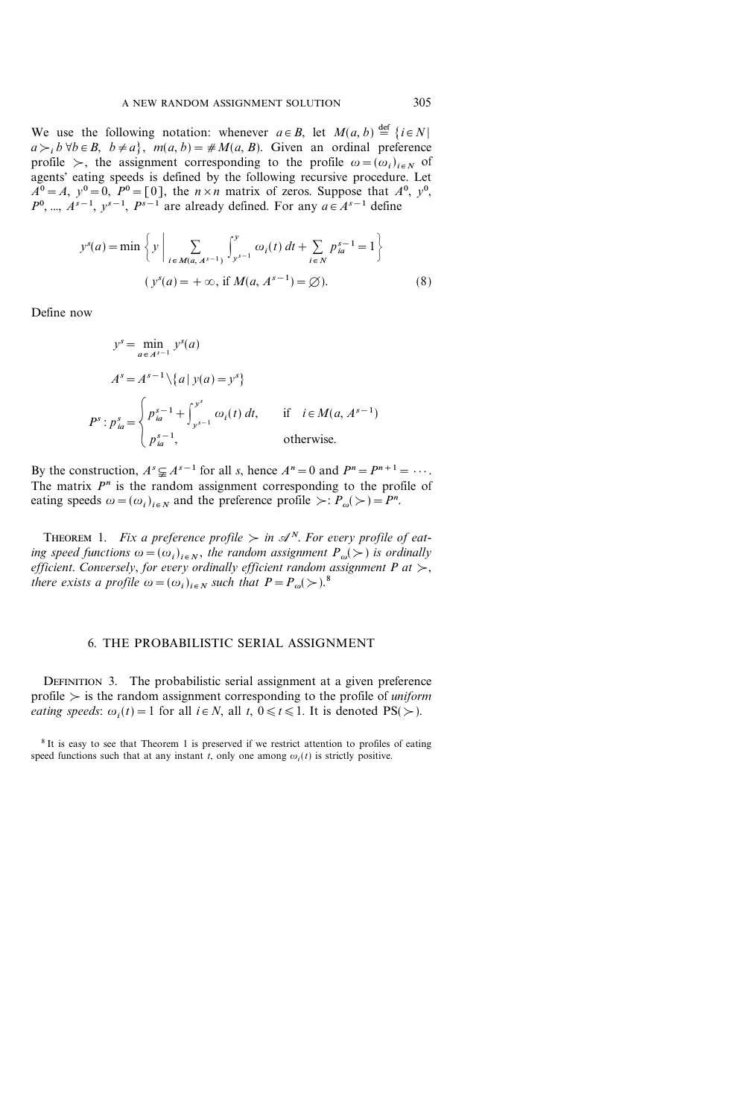We use the following notation: whenever  $a \in B$ , let  $M(a, b) \stackrel{\text{def}}{=} \{i \in N |$  $a \rightarrow_i b \forall b \in B$ ,  $b \neq a$ ,  $m(a, b) = \#M(a, B)$ . Given an ordinal preference profile  $\geq$ , the assignment corresponding to the profile  $\omega = (e_i)_{i \in N}$  of agents' eating speeds is defined by the following recursive procedure. Let  $A^0 = A$ ,  $y^0 = 0$ ,  $P^0 = [0]$ , the  $n \times n$  matrix of zeros. Suppose that  $A^0$ ,  $y^0$ ,  $P^0$ , ...,  $A^{s-1}$ ,  $y^{s-1}$ ,  $P^{s-1}$  are already defined. For any  $a \in A^{s-1}$  define

$$
y^{s}(a) = \min \left\{ y \mid \sum_{i \in M(a, A^{s-1})} \int_{y^{s-1}}^{y} \omega_i(t) dt + \sum_{i \in N} p_{ia}^{s-1} = 1 \right\}
$$
  

$$
(y^{s}(a) = +\infty, \text{ if } M(a, A^{s-1}) = \emptyset). \tag{8}
$$

Define now

$$
y^{s} = \min_{a \in A^{s-1}} y^{s}(a)
$$
  
\n
$$
A^{s} = A^{s-1} \setminus \{a \mid y(a) = y^{s}\}
$$
  
\n
$$
P^{s} : p_{ia}^{s} = \begin{cases} p_{ia}^{s-1} + \int_{y^{s-1}}^{y^{s}} \omega_{i}(t) dt, & \text{if } i \in M(a, A^{s-1})\\ p_{ia}^{s-1}, & \text{otherwise.} \end{cases}
$$

By the construction,  $A^{s} \subsetneq A^{s-1}$  for all s, hence  $A^{n} = 0$  and  $P^{n} = P^{n+1} = \cdots$ . The matrix  $P<sup>n</sup>$  is the random assignment corresponding to the profile of eating speeds  $\omega = (\omega_i)_{i \in N}$  and the preference profile  $\succ : P_\omega(\succ) = P^n$ .

THEOREM 1. Fix a preference profile  $>$  in  $\mathscr{A}^N$ . For every profile of eating speed functions  $\omega = (\omega_i)_{i \in N}$ , the random assignment  $P_{\omega}(\succ)$  is ordinally efficient. Conversely, for every ordinally efficient random assignment P at  $\gt$ , there exists a profile  $\omega=(\omega_i)_{i \in N}$  such that  $P=P_{\omega}(>).^8$ 

### 6. THE PROBABILISTIC SERIAL ASSIGNMENT

DEFINITION 3. The probabilistic serial assignment at a given preference profile  $>$  is the random assignment corresponding to the profile of *uniform* eating speeds:  $\omega_i(t) = 1$  for all  $i \in N$ , all t,  $0 \le t \le 1$ . It is denoted  $PS(\succ)$ .

<sup>&</sup>lt;sup>8</sup> It is easy to see that Theorem 1 is preserved if we restrict attention to profiles of eating speed functions such that at any instant t, only one among  $\omega_i(t)$  is strictly positive.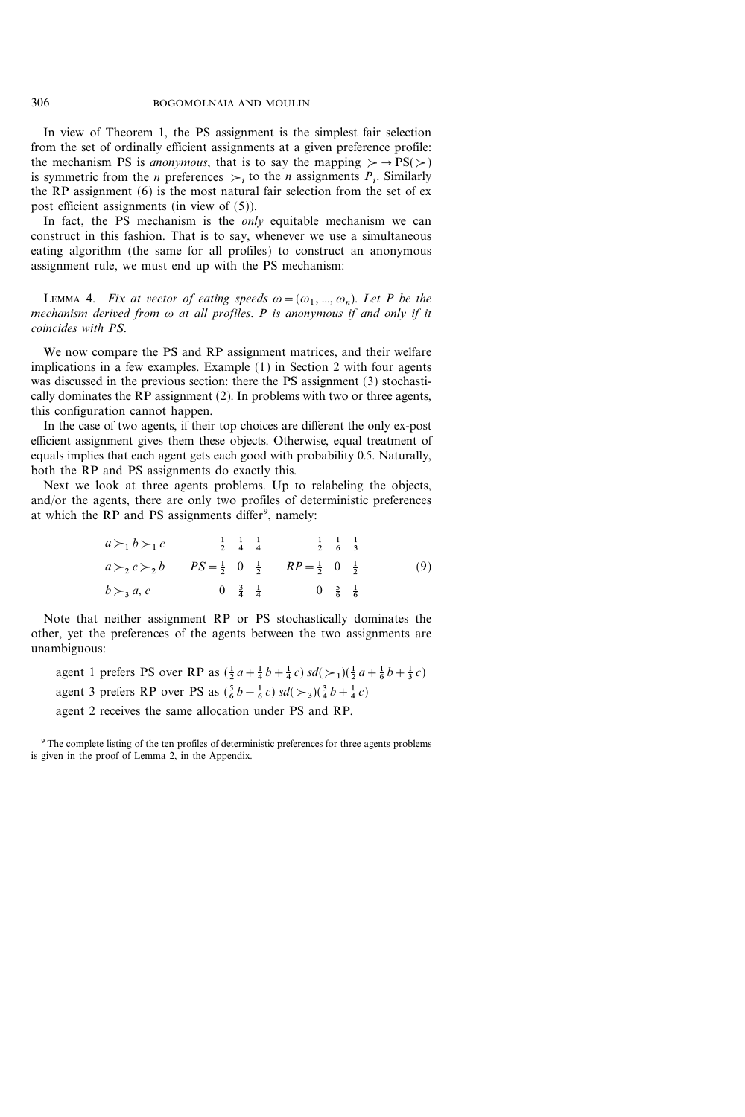In view of Theorem 1, the PS assignment is the simplest fair selection from the set of ordinally efficient assignments at a given preference profile: the mechanism PS is *anonymous*, that is to say the mapping  $\rightarrow$   $\rightarrow$  PS( $\rightarrow$ ) is symmetric from the *n* preferences  $\geq$ , to the *n* assignments  $P_i$ . Similarly the RP assignment (6) is the most natural fair selection from the set of ex post efficient assignments (in view of (5)).

In fact, the PS mechanism is the *only* equitable mechanism we can construct in this fashion. That is to say, whenever we use a simultaneous eating algorithm (the same for all profiles) to construct an anonymous assignment rule, we must end up with the PS mechanism:

LEMMA 4. Fix at vector of eating speeds  $\omega = (\omega_1, ..., \omega_n)$ . Let P be the mechanism derived from  $\omega$  at all profiles. P is anonymous if and only if it coincides with PS.

We now compare the PS and RP assignment matrices, and their welfare implications in a few examples. Example (1) in Section 2 with four agents was discussed in the previous section: there the PS assignment (3) stochastically dominates the  $\overline{RP}$  assignment (2). In problems with two or three agents, this configuration cannot happen.

In the case of two agents, if their top choices are different the only ex-post efficient assignment gives them these objects. Otherwise, equal treatment of equals implies that each agent gets each good with probability 0.5. Naturally, both the RP and PS assignments do exactly this.

Next we look at three agents problems. Up to relabeling the objects, and/or the agents, there are only two profiles of deterministic preferences at which the RP and PS assignments differ<sup>9</sup>, namely:

| $a >_1 b >_1 c$                                                                   | $\frac{1}{2}$ $\frac{1}{4}$ $\frac{1}{4}$ |                             | $\frac{1}{2}$ $\frac{1}{6}$ $\frac{1}{3}$ |  |     |
|-----------------------------------------------------------------------------------|-------------------------------------------|-----------------------------|-------------------------------------------|--|-----|
| $a >_2 c >_2 b$ $PS = \frac{1}{2} 0 \frac{1}{2}$ $RP = \frac{1}{2} 0 \frac{1}{2}$ |                                           |                             |                                           |  | (9) |
| b > a, c                                                                          |                                           | $0 \frac{3}{4} \frac{1}{4}$ | 0 $\frac{5}{6}$ $\frac{1}{6}$             |  |     |

Note that neither assignment RP or PS stochastically dominates the other, yet the preferences of the agents between the two assignments are unambiguous:

agent 1 prefers PS over RP as  $(\frac{1}{2}a + \frac{1}{4}b + \frac{1}{4}c) sd(>1)(\frac{1}{2}a + \frac{1}{6}b + \frac{1}{3}c)$ agent 3 prefers RP over PS as  $(\frac{5}{6}b + \frac{1}{6}c) sd(\succ_3)(\frac{3}{4}b + \frac{1}{4}c)$ agent 2 receives the same allocation under PS and RP.

<sup>9</sup> The complete listing of the ten profiles of deterministic preferences for three agents problems is given in the proof of Lemma 2, in the Appendix.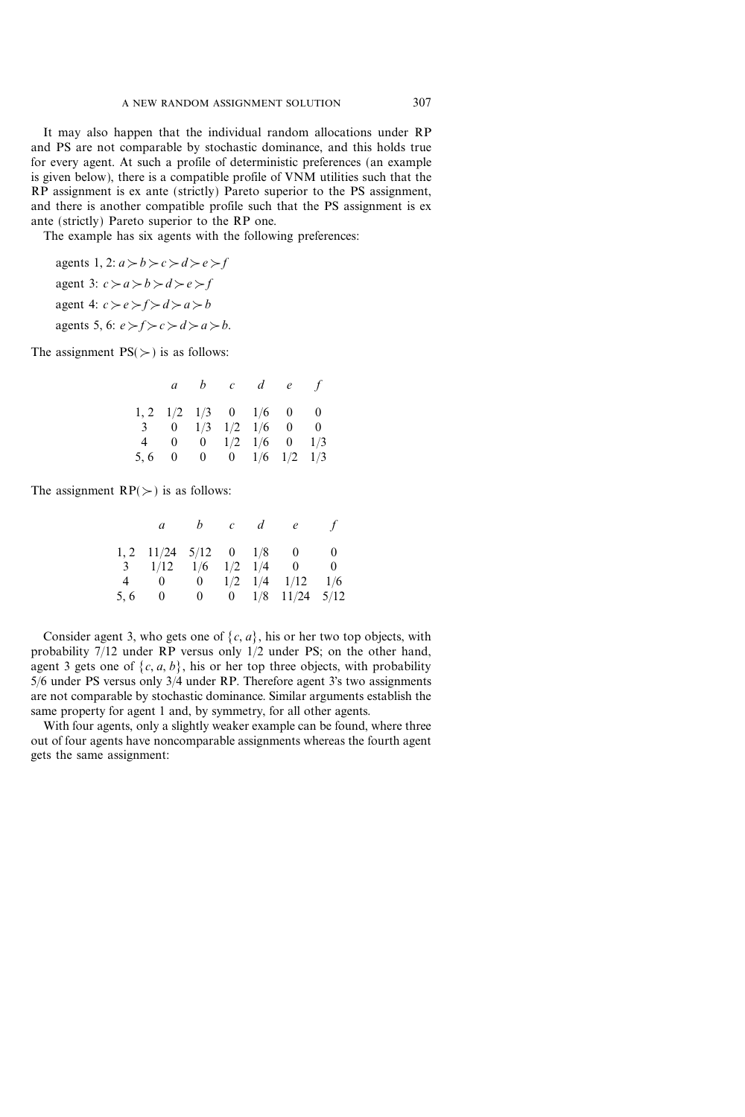It may also happen that the individual random allocations under RP and PS are not comparable by stochastic dominance, and this holds true for every agent. At such a profile of deterministic preferences (an example is given below), there is a compatible profile of VNM utilities such that the RP assignment is ex ante (strictly) Pareto superior to the PS assignment, and there is another compatible profile such that the PS assignment is ex ante (strictly) Pareto superior to the RP one.

The example has six agents with the following preferences:

agents 1, 2: 
$$
a > b > c > d > e > f
$$
  
agent 3:  $c > a > b > d > e > f$   
agent 4:  $c > e > f > d > a > b$   
agents 5, 6:  $e > f > c > d > a > b$ .

The assignment  $PS(\ge)$  is as follows:

|  | $a \quad b \quad c \quad d \quad e \quad f$                  |  |  |
|--|--------------------------------------------------------------|--|--|
|  | $1, 2 \quad 1/2 \quad 1/3 \quad 0 \quad 1/6 \quad 0 \quad 0$ |  |  |
|  | 3 0 $1/3$ $1/2$ $1/6$ 0 0                                    |  |  |
|  | 4 0 0 $1/2$ $1/6$ 0 $1/3$                                    |  |  |
|  | 5, 6 0 0 0 $1/6$ $1/2$ $1/3$                                 |  |  |

The assignment  $RP(\ge)$  is as follows:

| $\mathfrak{a}$ and $\mathfrak{a}$ |  | b c d e                         |          |
|-----------------------------------|--|---------------------------------|----------|
|                                   |  | $1, 2$ $11/24$ $5/12$ 0 $1/8$ 0 | $\theta$ |
| 3 $1/12$ $1/6$ $1/2$ $1/4$ 0      |  |                                 | $\theta$ |
|                                   |  | 4 0 0 $1/2$ $1/4$ $1/12$ $1/6$  |          |
| 5, 6 0                            |  | 0 0 1/8 11/24 5/12              |          |

Consider agent 3, who gets one of  $\{c, a\}$ , his or her two top objects, with probability  $7/12$  under RP versus only  $1/2$  under PS; on the other hand, agent 3 gets one of  $\{c, a, b\}$ , his or her top three objects, with probability  $5/6$  under PS versus only  $3/4$  under RP. Therefore agent 3's two assignments are not comparable by stochastic dominance. Similar arguments establish the same property for agent 1 and, by symmetry, for all other agents.

With four agents, only a slightly weaker example can be found, where three out of four agents have noncomparable assignments whereas the fourth agent gets the same assignment: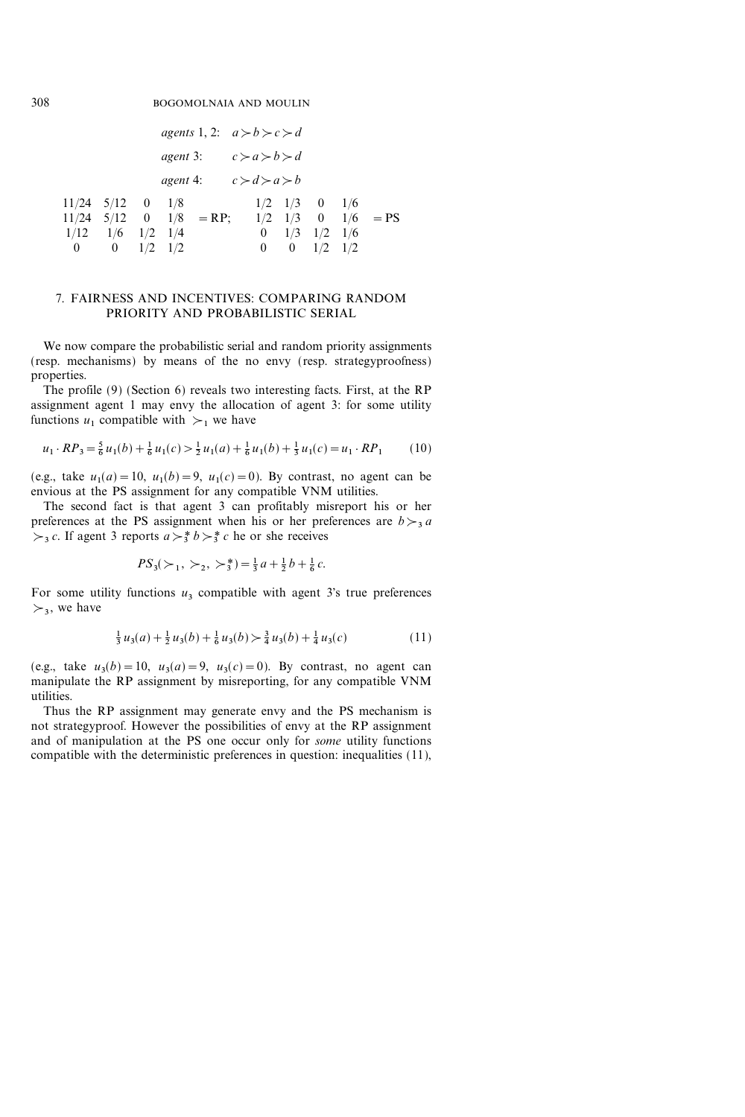|                                             |  | agents 1, 2: $a \succ b \succ c \succ d$ |          |                       |  |
|---------------------------------------------|--|------------------------------------------|----------|-----------------------|--|
|                                             |  | agent 3: $c > a > b > d$                 |          |                       |  |
|                                             |  | agent 4: $c > d > a > b$                 |          |                       |  |
| $11/24$ 5/12 0 1/8                          |  |                                          |          | $1/2$ $1/3$ 0 $1/6$   |  |
| $11/24$ 5/12 0 1/8 = RP; 1/2 1/3 0 1/6 = PS |  |                                          |          |                       |  |
| $1/12$ $1/6$ $1/2$ $1/4$                    |  |                                          |          | $0 \t1/3 \t1/2 \t1/6$ |  |
| 0 	 0 $1/2$ $1/2$                           |  |                                          | $\theta$ | 0 $1/2$ $1/2$         |  |
|                                             |  |                                          |          |                       |  |

## 7. FAIRNESS AND INCENTIVES: COMPARING RANDOM PRIORITY AND PROBABILISTIC SERIAL

We now compare the probabilistic serial and random priority assignments (resp. mechanisms) by means of the no envy (resp. strategyproofness) properties.

The profile (9) (Section 6) reveals two interesting facts. First, at the RP assignment agent 1 may envy the allocation of agent 3: for some utility functions  $u_1$  compatible with  $\geq_1$  we have

$$
u_1 \cdot RP_3 = \frac{5}{6} u_1(b) + \frac{1}{6} u_1(c) > \frac{1}{2} u_1(a) + \frac{1}{6} u_1(b) + \frac{1}{3} u_1(c) = u_1 \cdot RP_1
$$
 (10)

(e.g., take  $u_1(a) = 10$ ,  $u_1(b) = 9$ ,  $u_1(c) = 0$ ). By contrast, no agent can be envious at the PS assignment for any compatible VNM utilities.

The second fact is that agent 3 can profitably misreport his or her preferences at the PS assignment when his or her preferences are  $b > a$  $>$ <sub>3</sub> c. If agent 3 reports  $a > \frac{2}{3}$  b  $> \frac{2}{3}$  c he or she receives

$$
PS_3(\succ_1, \succ_2, \succ_3^*) = \frac{1}{3}a + \frac{1}{2}b + \frac{1}{6}c.
$$

For some utility functions  $u_3$  compatible with agent 3's true preferences  $\geq_3$ , we have

$$
\frac{1}{3}u_3(a) + \frac{1}{2}u_3(b) + \frac{1}{6}u_3(b) > \frac{3}{4}u_3(b) + \frac{1}{4}u_3(c)
$$
 (11)

(e.g., take  $u_3(b)=10$ ,  $u_3(a)=9$ ,  $u_3(c)=0$ ). By contrast, no agent can manipulate the RP assignment by misreporting, for any compatible VNM utilities.

Thus the RP assignment may generate envy and the PS mechanism is not strategyproof. However the possibilities of envy at the RP assignment and of manipulation at the PS one occur only for some utility functions compatible with the deterministic preferences in question: inequalities (11),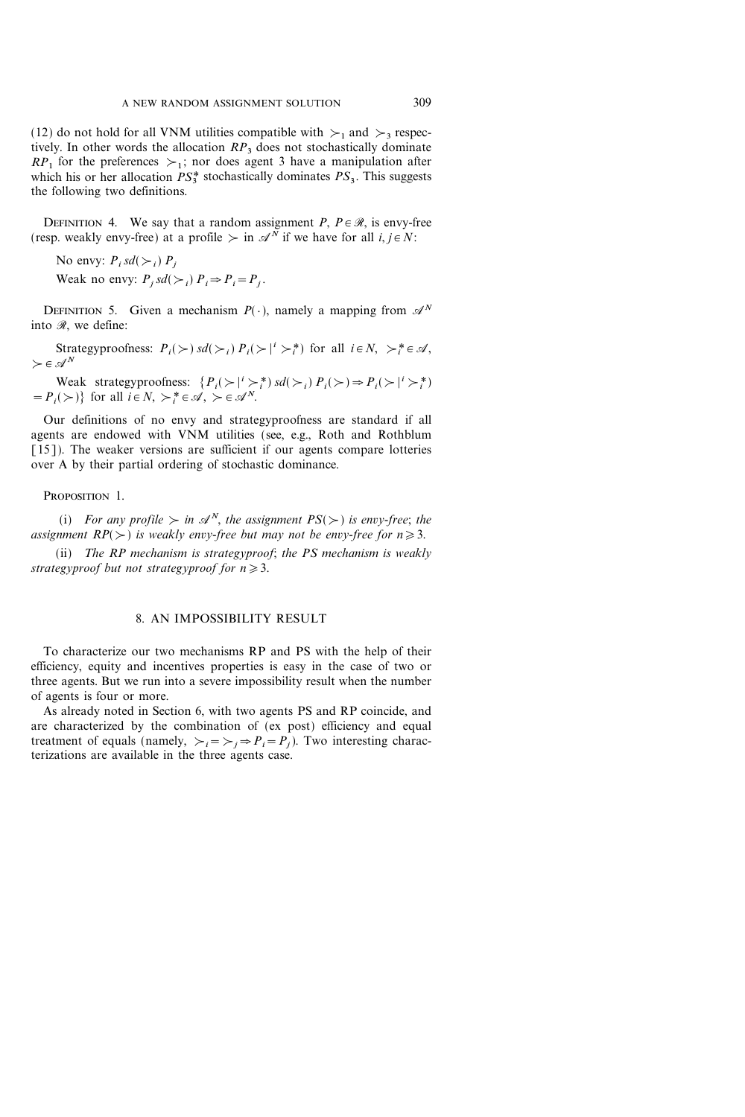(12) do not hold for all VNM utilities compatible with  $\geq_1$  and  $\geq_3$  respectively. In other words the allocation  $RP_3$  does not stochastically dominate  $RP_1$  for the preferences  $\geq 1$ ; nor does agent 3 have a manipulation after which his or her allocation  $PS_3^*$  stochastically dominates  $PS_3$ . This suggests the following two definitions.

DEFINITION 4. We say that a random assignment P,  $P \in \mathcal{R}$ , is envy-free (resp. weakly envy-free) at a profile  $\succ$  in  $\mathscr{A}^N$  if we have for all  $i, j \in N$ :

No envy:  $P_i sd(\succ_i) P_i$ 

Weak no envy:  $P_i sd(\succ_i) P_i \Rightarrow P_i = P_i$ .

DEFINITION 5. Given a mechanism  $P(\cdot)$ , namely a mapping from  $\mathscr{A}^N$ into  $\mathcal{R}$ , we define:

Strategyproofness:  $P_i(\succ)$  sd( $\succ_i$ )  $P_i(\succ|^{i} \succ_i^{*})$  for all  $i \in N$ ,  $\succ_i^{*} \in \mathcal{A}$ ,  $\succ \in \mathscr{A}^N$ 

Weak strategyproofness:  $\{P_i(\succ)^i \succ_i^* \mid sd(\succ_i) P_i(\succ) \Rightarrow P_i(\succ)^i \succ_i^* \}$  $= P_i(\succ)$ } for all  $i \in N$ ,  $\succ_i^* \in \mathcal{A}$ ,  $\succ \in \mathcal{A}^N$ .

Our definitions of no envy and strategyproofness are standard if all agents are endowed with VNM utilities (see, e.g., Roth and Rothblum [15]). The weaker versions are sufficient if our agents compare lotteries over A by their partial ordering of stochastic dominance.

# Proposition 1.

(i) For any profile  $> in \mathcal{A}^N$ , the assignment  $PS(>)$  is envy-free; the assignment  $RP(\gt)$  is weakly envy-free but may not be envy-free for  $n\geq3$ .

(ii) The RP mechanism is strategyproof; the PS mechanism is weakly strategyproof but not strategyproof for  $n \geq 3$ .

### 8. AN IMPOSSIBILITY RESULT

To characterize our two mechanisms RP and PS with the help of their efficiency, equity and incentives properties is easy in the case of two or three agents. But we run into a severe impossibility result when the number of agents is four or more.

As already noted in Section 6, with two agents PS and RP coincide, and are characterized by the combination of (ex post) efficiency and equal treatment of equals (namely,  $\gt_i = \gt_i \Rightarrow P_i = P_i$ ). Two interesting characterizations are available in the three agents case.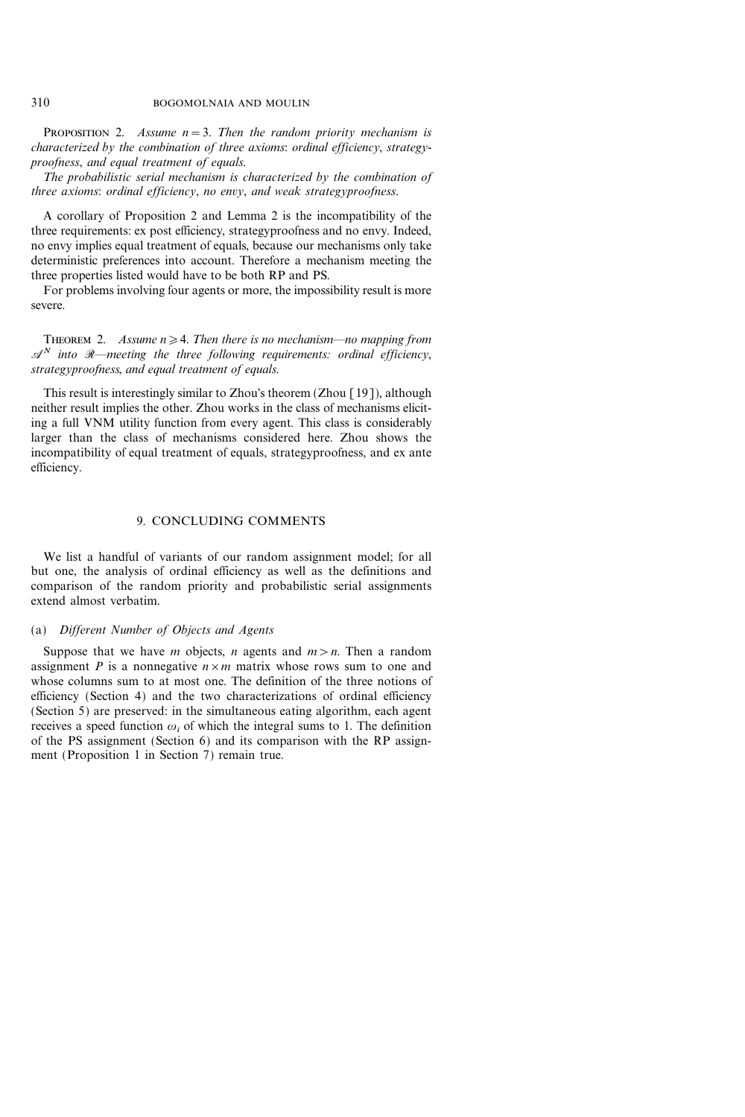PROPOSITION 2. Assume  $n=3$ . Then the random priority mechanism is characterized by the combination of three axioms: ordinal efficiency, strategyproofness, and equal treatment of equals.

The probabilistic serial mechanism is characterized by the combination of three axioms: ordinal efficiency, no envy, and weak strategyproofness.

A corollary of Proposition 2 and Lemma 2 is the incompatibility of the three requirements: ex post efficiency, strategyproofness and no envy. Indeed, no envy implies equal treatment of equals, because our mechanisms only take deterministic preferences into account. Therefore a mechanism meeting the three properties listed would have to be both RP and PS.

For problems involving four agents or more, the impossibility result is more severe.

THEOREM 2. Assume  $n \geq 4$ . Then there is no mechanism—no mapping from  $\mathscr{A}^N$  into  $\mathscr{R}$ —meeting the three following requirements: ordinal efficiency, strategyproofness, and equal treatment of equals.

This result is interestingly similar to Zhou's theorem (Zhou [19]), although neither result implies the other. Zhou works in the class of mechanisms eliciting a full VNM utility function from every agent. This class is considerably larger than the class of mechanisms considered here. Zhou shows the incompatibility of equal treatment of equals, strategyproofness, and ex ante efficiency.

## 9. CONCLUDING COMMENTS

We list a handful of variants of our random assignment model; for all but one, the analysis of ordinal efficiency as well as the definitions and comparison of the random priority and probabilistic serial assignments extend almost verbatim.

## (a) Different Number of Objects and Agents

Suppose that we have *m* objects, *n* agents and  $m > n$ . Then a random assignment P is a nonnegative  $n \times m$  matrix whose rows sum to one and whose columns sum to at most one. The definition of the three notions of efficiency (Section 4) and the two characterizations of ordinal efficiency (Section 5) are preserved: in the simultaneous eating algorithm, each agent receives a speed function  $\omega_i$ , of which the integral sums to 1. The definition of the PS assignment (Section 6) and its comparison with the RP assignment (Proposition 1 in Section 7) remain true.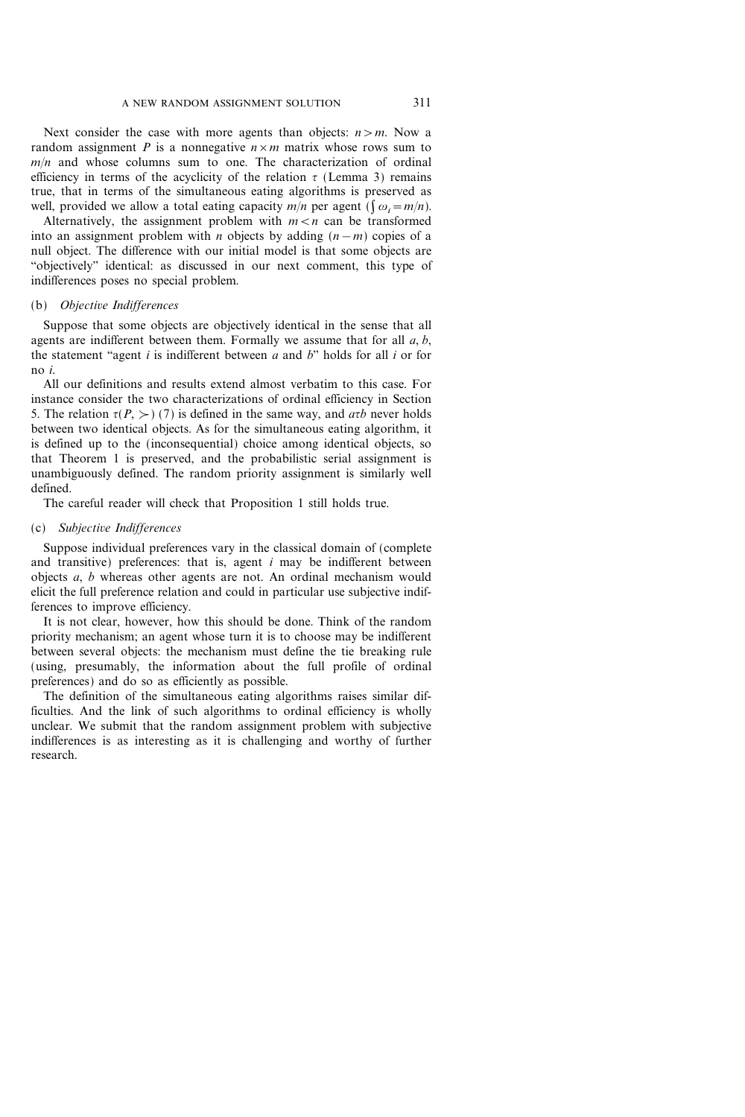Next consider the case with more agents than objects:  $n > m$ . Now a random assignment P is a nonnegative  $n \times m$  matrix whose rows sum to  $m/n$  and whose columns sum to one. The characterization of ordinal efficiency in terms of the acyclicity of the relation  $\tau$  (Lemma 3) remains true, that in terms of the simultaneous eating algorithms is preserved as well, provided we allow a total eating capacity  $m/n$  per agent  $( \nvert \omega_i = m/n ).$ 

Alternatively, the assignment problem with  $m < n$  can be transformed into an assignment problem with *n* objects by adding  $(n-m)$  copies of a null object. The difference with our initial model is that some objects are "objectively" identical: as discussed in our next comment, this type of indifferences poses no special problem.

# (b) Objective Indifferences

Suppose that some objects are objectively identical in the sense that all agents are indifferent between them. Formally we assume that for all  $a, b$ , the statement "agent  $i$  is indifferent between  $a$  and  $b$ " holds for all  $i$  or for no i.

All our definitions and results extend almost verbatim to this case. For instance consider the two characterizations of ordinal efficiency in Section 5. The relation  $\tau(P, \geq)$  (7) is defined in the same way, and ath never holds between two identical objects. As for the simultaneous eating algorithm, it is defined up to the (inconsequential) choice among identical objects, so that Theorem 1 is preserved, and the probabilistic serial assignment is unambiguously defined. The random priority assignment is similarly well defined.

The careful reader will check that Proposition 1 still holds true.

# (c) Subjective Indifferences

Suppose individual preferences vary in the classical domain of (complete and transitive) preferences: that is, agent  $i$  may be indifferent between objects  $a, b$  whereas other agents are not. An ordinal mechanism would elicit the full preference relation and could in particular use subjective indifferences to improve efficiency.

It is not clear, however, how this should be done. Think of the random priority mechanism; an agent whose turn it is to choose may be indifferent between several objects: the mechanism must define the tie breaking rule (using, presumably, the information about the full profile of ordinal preferences) and do so as efficiently as possible.

The definition of the simultaneous eating algorithms raises similar difficulties. And the link of such algorithms to ordinal efficiency is wholly unclear. We submit that the random assignment problem with subjective indifferences is as interesting as it is challenging and worthy of further research.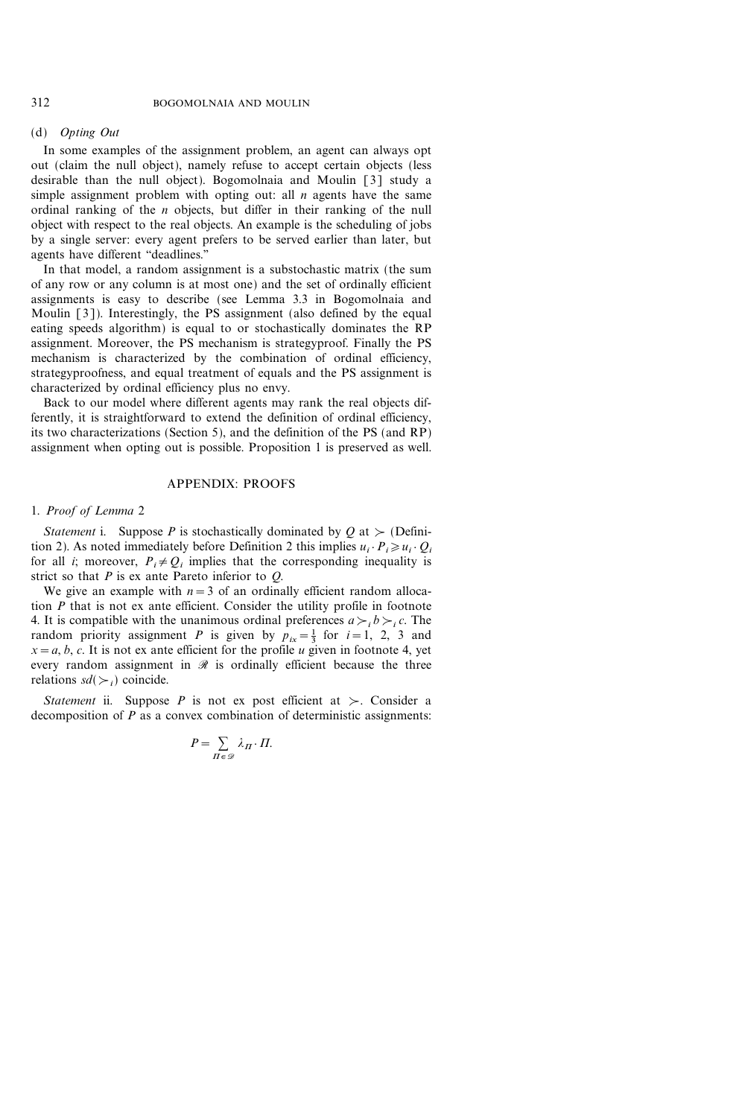### (d) Opting Out

In some examples of the assignment problem, an agent can always opt out (claim the null object), namely refuse to accept certain objects (less desirable than the null object). Bogomolnaia and Moulin [3] study a simple assignment problem with opting out: all  $n$  agents have the same ordinal ranking of the n objects, but differ in their ranking of the null object with respect to the real objects. An example is the scheduling of jobs by a single server: every agent prefers to be served earlier than later, but agents have different "deadlines."

In that model, a random assignment is a substochastic matrix (the sum of any row or any column is at most one) and the set of ordinally efficient assignments is easy to describe (see Lemma 3.3 in Bogomolnaia and Moulin [3]). Interestingly, the PS assignment (also defined by the equal eating speeds algorithm) is equal to or stochastically dominates the RP assignment. Moreover, the PS mechanism is strategyproof. Finally the PS mechanism is characterized by the combination of ordinal efficiency, strategyproofness, and equal treatment of equals and the PS assignment is characterized by ordinal efficiency plus no envy.

Back to our model where different agents may rank the real objects differently, it is straightforward to extend the definition of ordinal efficiency, its two characterizations (Section 5), and the definition of the PS (and RP) assignment when opting out is possible. Proposition 1 is preserved as well.

## APPENDIX: PROOFS

### 1. Proof of Lemma 2

*Statement* i. Suppose P is stochastically dominated by Q at  $\geq$  (Definition 2). As noted immediately before Definition 2 this implies  $u_i \cdot P_i \geq u_i \cdot Q_i$ for all *i*; moreover,  $P_i \neq Q_i$  implies that the corresponding inequality is strict so that  $P$  is ex ante Pareto inferior to  $Q$ .

We give an example with  $n=3$  of an ordinally efficient random allocation  $P$  that is not ex ante efficient. Consider the utility profile in footnote 4. It is compatible with the unanimous ordinal preferences  $a > i b > i c$ . The random priority assignment P is given by  $p_{ix} = \frac{1}{3}$  for  $i = 1, 2, 3$  and  $x=a, b, c$ . It is not ex ante efficient for the profile u given in footnote 4, yet every random assignment in  $\mathcal R$  is ordinally efficient because the three relations  $sd(\succ)$  coincide.

Statement ii. Suppose P is not ex post efficient at  $\geq$ . Consider a decomposition of  $P$  as a convex combination of deterministic assignments:

$$
P = \sum_{\Pi \in \mathcal{D}} \lambda_{\Pi} \cdot \Pi.
$$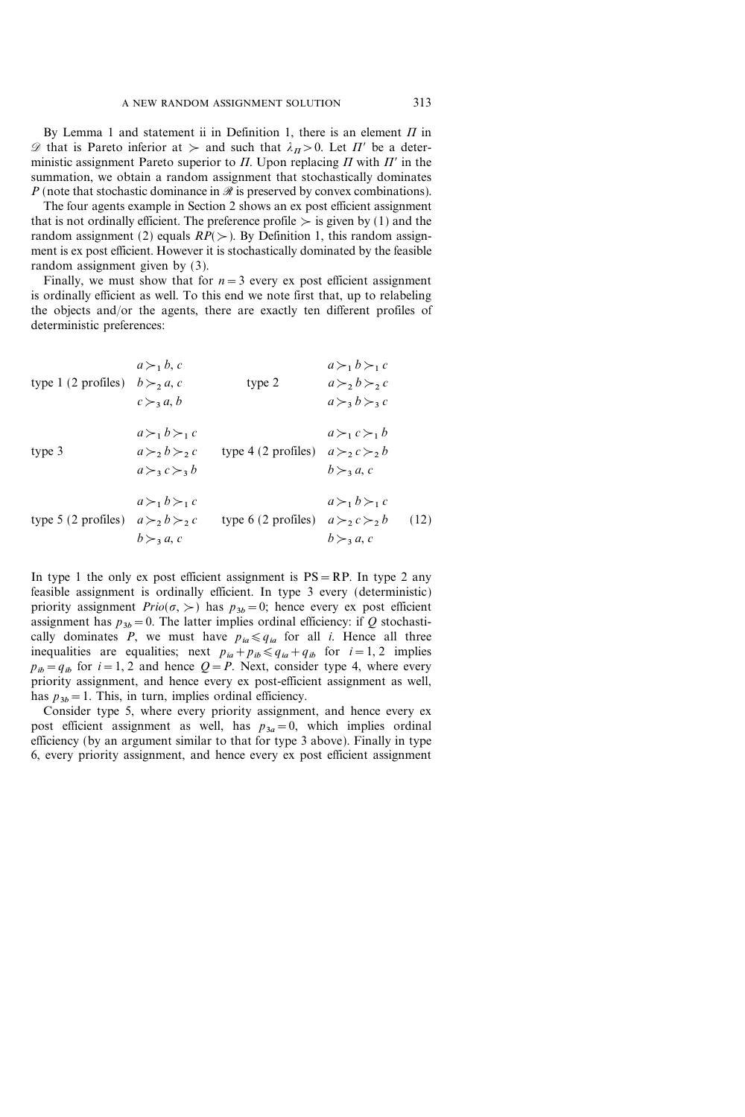By Lemma 1 and statement ii in Definition 1, there is an element  $\Pi$  in  $\mathscr{D}$  that is Pareto inferior at  $\succ$  and such that  $\lambda_{\Pi} > 0$ . Let  $\Pi'$  be a deterministic assignment Pareto superior to  $\Pi$ . Upon replacing  $\Pi$  with  $\Pi'$  in the summation, we obtain a random assignment that stochastically dominates P (note that stochastic dominance in  $\mathcal R$  is preserved by convex combinations).

The four agents example in Section 2 shows an ex post efficient assignment that is not ordinally efficient. The preference profile  $>$  is given by (1) and the random assignment (2) equals  $RP(\ge)$ . By Definition 1, this random assignment is ex post efficient. However it is stochastically dominated by the feasible random assignment given by (3).

Finally, we must show that for  $n=3$  every ex post efficient assignment is ordinally efficient as well. To this end we note first that, up to relabeling the objects and/or the agents, there are exactly ten different profiles of deterministic preferences:

| $a >_1 b, c$        | $a >_1 b >_1 c$ |                     |                 |      |
|---------------------|-----------------|---------------------|-----------------|------|
| type 1 (2 profiles) | $b >_2 a, c$    | type 2              | $a >_2 b >_2 c$ |      |
| $c >_3 a, b$        | $a >_3 b >_3 c$ |                     |                 |      |
| $a >_1 b >_1 c$     | $a >_1 c >_1 b$ |                     |                 |      |
| type 3              | $a >_2 b >_2 c$ | type 4 (2 profiles) | $a >_2 c >_2 b$ |      |
| $a >_3 c >_3 b$     | $b >_3 a, c$    |                     |                 |      |
| $a >_1 b >_1 c$     | $a >_1 b >_1 c$ |                     |                 |      |
| type 5 (2 profiles) | $a >_2 b >_2 c$ | type 6 (2 profiles) | $a >_2 c >_2 b$ | (12) |
| $b >_3 a, c$        | $b >_3 a, c$    |                     |                 |      |

In type 1 the only ex post efficient assignment is  $PS = RP$ . In type 2 any feasible assignment is ordinally efficient. In type 3 every (deterministic) priority assignment  $Prio(\sigma, \gt)$  has  $p_{3b}=0$ ; hence every ex post efficient assignment has  $p_{3b}=0$ . The latter implies ordinal efficiency: if Q stochastically dominates P, we must have  $p_{ia} \leq q_{ia}$  for all *i*. Hence all three inequalities are equalities; next  $p_{ia} + p_{ib} \leq q_{ia} + q_{ib}$  for  $i = 1, 2$  implies  $p_{ib}=q_{ib}$  for  $i=1, 2$  and hence  $Q=P$ . Next, consider type 4, where every priority assignment, and hence every ex post-efficient assignment as well, has  $p_{3b}=1$ . This, in turn, implies ordinal efficiency.

Consider type 5, where every priority assignment, and hence every ex post efficient assignment as well, has  $p_{3a}=0$ , which implies ordinal efficiency (by an argument similar to that for type 3 above). Finally in type 6, every priority assignment, and hence every ex post efficient assignment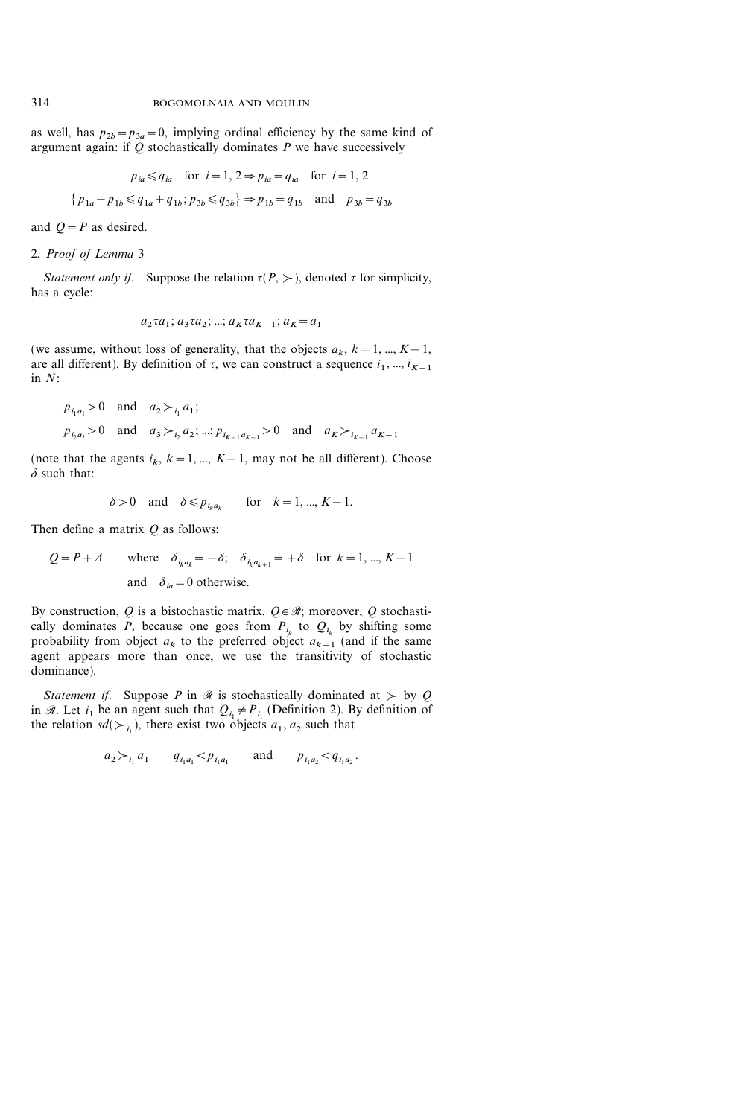as well, has  $p_{2b}=p_{3a}=0$ , implying ordinal efficiency by the same kind of argument again: if  $Q$  stochastically dominates  $P$  we have successively

$$
p_{ia} \le q_{ia} \quad \text{for } i = 1, 2 \Rightarrow p_{ia} = q_{ia} \quad \text{for } i = 1, 2
$$
\n
$$
\{p_{1a} + p_{1b} \le q_{1a} + q_{1b}; p_{3b} \le q_{3b}\} \Rightarrow p_{1b} = q_{1b} \quad \text{and} \quad p_{3b} = q_{3b}
$$

and  $Q = P$  as desired.

## 2. Proof of Lemma 3

Statement only if. Suppose the relation  $\tau(P, \gt)$ , denoted  $\tau$  for simplicity, has a cycle:

$$
a_2 \tau a_1
$$
;  $a_3 \tau a_2$ ; ...,  $a_K \tau a_{K-1}$ ;  $a_K = a_1$ 

(we assume, without loss of generality, that the objects  $a_k$ ,  $k=1, ..., K-1$ , are all different). By definition of  $\tau$ , we can construct a sequence  $i_1, ..., i_{K-1}$ in  $N$ :

$$
p_{i_1a_1} > 0
$$
 and  $a_2 >_{i_1} a_1$ ;  
\n $p_{i_2a_2} > 0$  and  $a_3 >_{i_2} a_2$ ; ...,  $p_{i_{K-1}a_{K-1}} > 0$  and  $a_K >_{i_{K-1}} a_{K-1}$ 

(note that the agents  $i_k$ ,  $k=1, ..., K-1$ , may not be all different). Choose  $\delta$  such that:

$$
\delta > 0 \quad \text{and} \quad \delta \leq p_{i_k a_k} \qquad \text{for} \quad k = 1, \dots, K - 1.
$$

Then define a matrix  $Q$  as follows:

$$
Q = P + \Delta \quad \text{where} \quad \delta_{i_k a_k} = -\delta; \quad \delta_{i_k a_{k+1}} = +\delta \quad \text{for } k = 1, ..., K - 1
$$
  
and  $\delta_{ia} = 0$  otherwise.

By construction, Q is a bistochastic matrix,  $Q \in \mathcal{R}$ ; moreover, Q stochastically dominates P, because one goes from  $P_{i_k}$  to  $Q_{i_k}$  by shifting some probability from object  $a_k$  to the preferred object  $a_{k+1}$  (and if the same agent appears more than once, we use the transitivity of stochastic dominance).

Statement if. Suppose P in  $\Re$  is stochastically dominated at  $>$  by Q in  $\mathcal{R}$ . Let  $i_1$  be an agent such that  $Q_{i_1} \neq P_{i_1}$  (Definition 2). By definition of the relation  $sd(\succ_{i_1})$ , there exist two objects  $a_1, a_2$  such that

$$
a_2 >_{i_1} a_1
$$
  $q_{i_1 a_1} < p_{i_1 a_1}$  and  $p_{i_1 a_2} < q_{i_1 a_2}$ .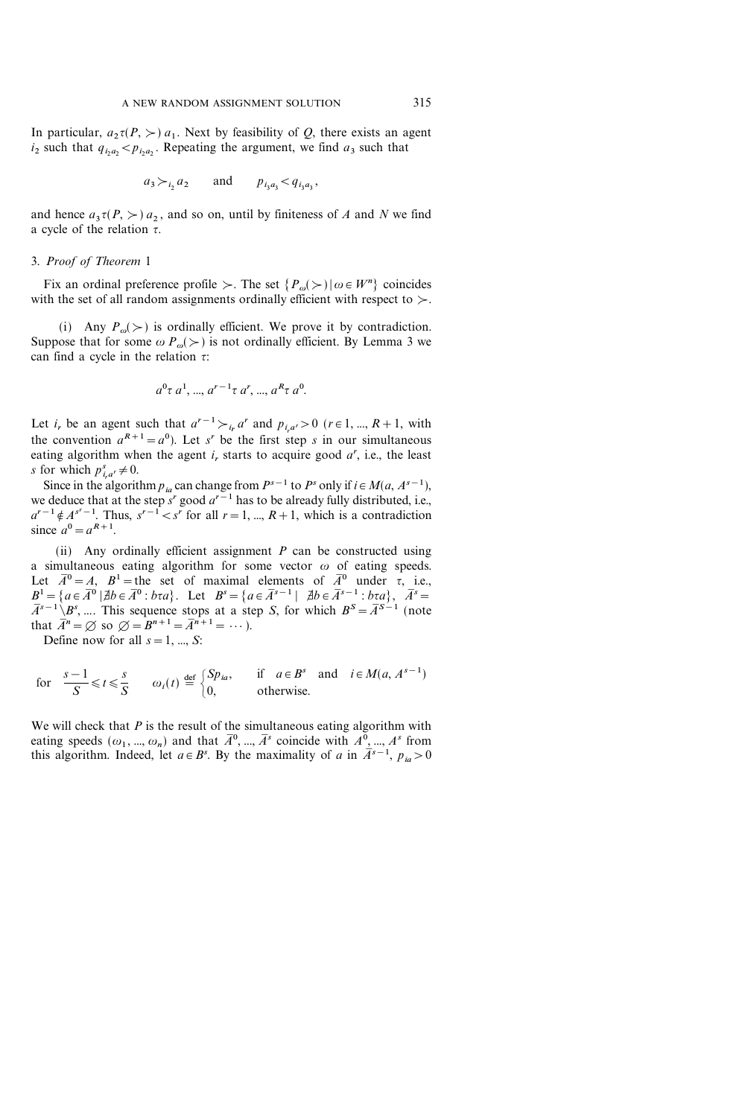In particular,  $a_2 \tau(P, \gt) a_1$ . Next by feasibility of Q, there exists an agent  $i_2$  such that  $q_{i_2a_2} < p_{i_2a_2}$ . Repeating the argument, we find  $a_3$  such that

$$
a_3 >_{i_2} a_2
$$
 and  $p_{i_3a_3} < q_{i_3a_3}$ ,

and hence  $a_3 \tau(P, \geq) a_2$ , and so on, until by finiteness of A and N we find a cycle of the relation  $\tau$ .

## 3. Proof of Theorem 1

Fix an ordinal preference profile  $\triangleright$ . The set  $\{P_{\omega}(\succ) | \omega \in W^{n}\}\)$  coincides with the set of all random assignments ordinally efficient with respect to  $\geq$ .

(i) Any  $P_{\omega}(\ge)$  is ordinally efficient. We prove it by contradiction. Suppose that for some  $\omega P_{\omega}(>)$  is not ordinally efficient. By Lemma 3 we can find a cycle in the relation  $\tau$ :

$$
a^0 \tau a^1, ..., a^{r-1} \tau a^r, ..., a^R \tau a^0.
$$

Let  $i_r$  be an agent such that  $a^{r-1} \rangle_{i_r} a^r$  and  $p_{i_r} a^r > 0$  ( $r \in 1, ..., R+1$ , with the convention  $a^{R+1} = a^0$ ). Let s' be the first step s in our simultaneous eating algorithm when the agent  $i_r$  starts to acquire good  $a^r$ , i.e., the least s for which  $p_{i, a r}^s \neq 0$ .

Since in the algorithm  $p_{ia}$  can change from  $P^{s-1}$  to  $P^s$  only if  $i \in M(a, A^{s-1})$ , we deduce that at the step s' good  $a^{r-1}$  has to be already fully distributed, i.e.,  $a^{r-1} \notin A^{s^r-1}$ . Thus,  $s^{r-1} < s^r$  for all  $r = 1, ..., R+1$ , which is a contradiction since  $a^0 = a^{R+1}$ .

(ii) Any ordinally efficient assignment  $P$  can be constructed using a simultaneous eating algorithm for some vector  $\omega$  of eating speeds. Let  $\overline{A}^0 = A$ ,  $B^1 =$  the set of maximal elements of  $\overline{A}^0$  under  $\tau$ , i.e.,  $B^1 = \{a \in \overline{A}^0 \mid \nexists b \in \overline{A}^0 : b \tau a\}.$  Let  $B^s = \{a \in \overline{A}^{s-1} \mid \nexists b \in \overline{A}^{s-1} : b \tau a\}, \overline{A}^s =$  $\overline{A}^{s-1} \backslash B^s$ , .... This sequence stops at a step S, for which  $B^S = \overline{A}^{S-1}$  (note that  $\overline{A}^n = \emptyset$  so  $\emptyset = B^{n+1} = \overline{A}^{n+1} = \cdots$ .

Define now for all  $s=1, ..., S$ :

for 
$$
\frac{s-1}{S} \le t \le \frac{s}{S}
$$
  $\omega_i(t) \stackrel{\text{def}}{=} \begin{cases} Sp_{ia}, & \text{if } a \in B^s \text{ and } i \in M(a, A^{s-1})\\ 0, & \text{otherwise.} \end{cases}$ 

We will check that  $P$  is the result of the simultaneous eating algorithm with eating speeds  $(\omega_1, ..., \omega_n)$  and that  $\bar{A}^0, ..., \bar{A}^s$  coincide with  $A^0, ..., A^s$  from this algorithm. Indeed, let  $a \in B^s$ . By the maximality of a in  $\overline{A}^{s-1}$ ,  $p_{ia} > 0$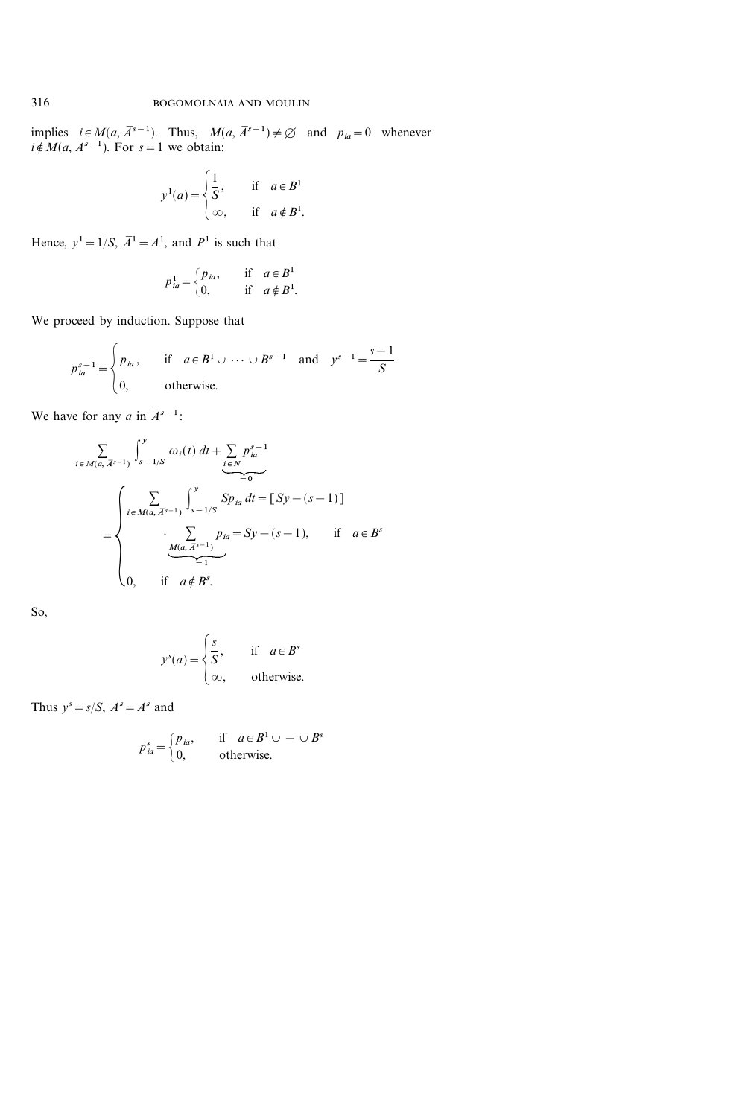implies  $i \in M(a, \overline{A}^{s-1})$ . Thus,  $M(a, \overline{A}^{s-1}) \neq \emptyset$  and  $p_{ia} = 0$  whenever  $i \notin M(a, \overline{A}^{s-1})$ . For  $s=1$  we obtain:

$$
y^{1}(a) = \begin{cases} \frac{1}{S}, & \text{if } a \in B^{1} \\ \infty, & \text{if } a \notin B^{1}. \end{cases}
$$

Hence,  $y^1 = 1/S$ ,  $\overline{A}^1 = A^1$ , and  $P^1$  is such that

$$
p_{ia}^1 = \begin{cases} p_{ia}, & \text{if } a \in B^1 \\ 0, & \text{if } a \notin B^1. \end{cases}
$$

We proceed by induction. Suppose that

$$
p_{ia}^{s-1} = \begin{cases} p_{ia}, & \text{if } a \in B^1 \cup \cdots \cup B^{s-1} \text{ and } y^{s-1} = \frac{s-1}{S} \\ 0, & \text{otherwise.} \end{cases}
$$

We have for any *a* in  $\overline{A}^{s-1}$ :

$$
\sum_{i \in M(a, \overline{A}^{s-1})} \int_{s-1/S}^{y} \omega_i(t) dt + \sum_{i \in N} p_{ia}^{s-1}
$$
\n
$$
= \begin{cases}\n\sum_{i \in M(a, \overline{A}^{s-1})} \int_{s-1/S}^{y} Sp_{ia} dt = [Sy - (s-1)] \\
\vdots \\
\sum_{i \in M(a, \overline{A}^{s-1})} p_{ia} = Sy - (s-1), \quad \text{if} \quad a \in B^s \\
\vdots \\
0, \quad \text{if} \quad a \notin B^s.\n\end{cases}
$$

So,

$$
y^{s}(a) = \begin{cases} \frac{s}{S}, & \text{if } a \in B^{s} \\ \infty, & \text{otherwise.} \end{cases}
$$

Thus  $y^s = s/S$ ,  $\overline{A}^s = A^s$  and

$$
p_{ia}^s = \begin{cases} p_{ia}, & \text{if } a \in B^1 \cup - \cup B^s \\ 0, & \text{otherwise.} \end{cases}
$$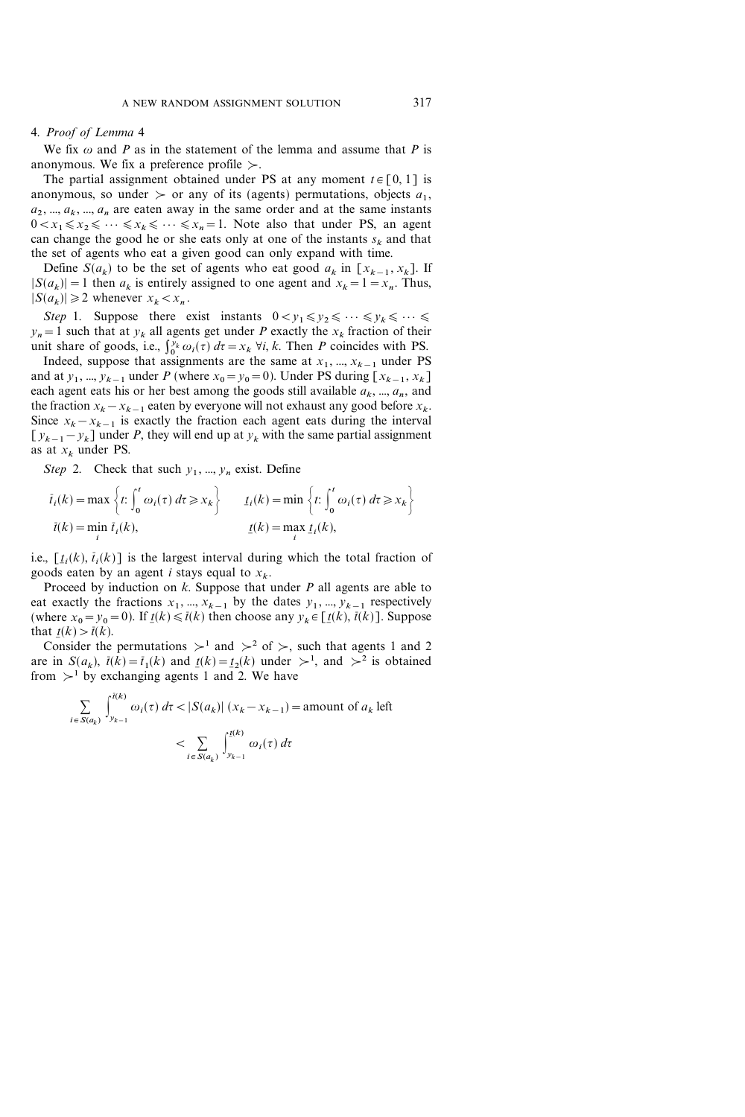## 4. Proof of Lemma 4

We fix  $\omega$  and P as in the statement of the lemma and assume that P is anonymous. We fix a preference profile  $\geq$ .

The partial assignment obtained under PS at any moment  $t \in [0, 1]$  is anonymous, so under  $>$  or any of its (agents) permutations, objects  $a_1$ ,  $a_2, ..., a_k, ..., a_n$  are eaten away in the same order and at the same instants  $0 \lt x_1 \leq x_2 \leq \cdots \leq x_k \leq \cdots \leq x_n = 1$ . Note also that under PS, an agent can change the good he or she eats only at one of the instants  $s_k$  and that the set of agents who eat a given good can only expand with time.

Define  $S(a_k)$  to be the set of agents who eat good  $a_k$  in  $[x_{k-1}, x_k]$ . If  $|S(a_k)|=1$  then  $a_k$  is entirely assigned to one agent and  $x_k=1=x_n$ . Thus,  $|S(a_k)| \geq 2$  whenever  $x_k < x_n$ .

Step 1. Suppose there exist instants  $0 < y_1 \leq y_2 \leq \cdots \leq y_k \leq \cdots \leq$  $y_n=1$  such that at  $y_k$  all agents get under P exactly the  $x_k$  fraction of their unit share of goods, i.e.,  $\int_0^{y_k} \omega_i(\tau) d\tau = x_k \forall i, k$ . Then P coincides with PS.

Indeed, suppose that assignments are the same at  $x_1, ..., x_{k-1}$  under PS and at  $y_1, ..., y_{k-1}$  under P (where  $x_0 = y_0 = 0$ ). Under PS during  $[x_{k-1}, x_k]$ each agent eats his or her best among the goods still available  $a_k$ , ...,  $a_n$ , and the fraction  $x_k - x_{k-1}$  eaten by everyone will not exhaust any good before  $x_k$ . Since  $x_k - x_{k-1}$  is exactly the fraction each agent eats during the interval [ $y_{k-1} - y_k$ ] under *P*, they will end up at  $y_k$  with the same partial assignment as at  $x_k$  under PS.

Step 2. Check that such  $y_1, ..., y_n$  exist. Define

$$
\bar{t}_i(k) = \max \left\{ t : \int_0^t \omega_i(\tau) \, d\tau \ge x_k \right\} \qquad \underline{t}_i(k) = \min \left\{ t : \int_0^t \omega_i(\tau) \, d\tau \ge x_k \right\}
$$
\n
$$
\bar{t}(k) = \min_i \bar{t}_i(k), \qquad \underline{t}(k) = \max_i \underline{t}_i(k),
$$

i.e.,  $\left[\underline{t_i}(k), \overline{t_i}(k)\right]$  is the largest interval during which the total fraction of ׅׅ֡֡֡֡֡֝֬ goods eaten by an agent *i* stays equal to  $x_k$ .

Proceed by induction on  $k$ . Suppose that under  $P$  all agents are able to eat exactly the fractions  $x_1$ , ...,  $x_{k-1}$  by the dates  $y_1$ , ...,  $y_{k-1}$  respectively (where  $x_0 = y_0 = 0$ ). If  $\underline{t}(k) \le \overline{t}(k)$  then choose any  $y_k \in [\underline{t}(k), \overline{t}(k)]$ . Suppose ֡֡֡֡֡֡ that  $\underline{t}(k) > \overline{t}(k)$ .

֚֚֚֬ Consider the permutations  $\geq^1$  and  $\geq^2$  of  $\geq$ , such that agents 1 and 2 are in  $S(a_k)$ ,  $\bar{t}(k) = \bar{t}_1(k)$  and  $\underline{t}(k) = \underline{t}_2(k)$  under  $\succ^1$ , and  $\succ^2$  is obtained ֚֚֚֚֚֚֚֚֡֡֡֡֡֡ from  $>^1$  by exchanging agents 1 and 2. We have

$$
\sum_{i \in S(a_k)} \int_{y_{k-1}}^{i(k)} \omega_i(\tau) d\tau \langle |S(a_k)| (x_k - x_{k-1}) = \text{amount of } a_k \text{ left}
$$

$$
\langle \sum_{i \in S(a_k)} \int_{y_{k-1}}^{i(k)} \omega_i(\tau) d\tau \rangle
$$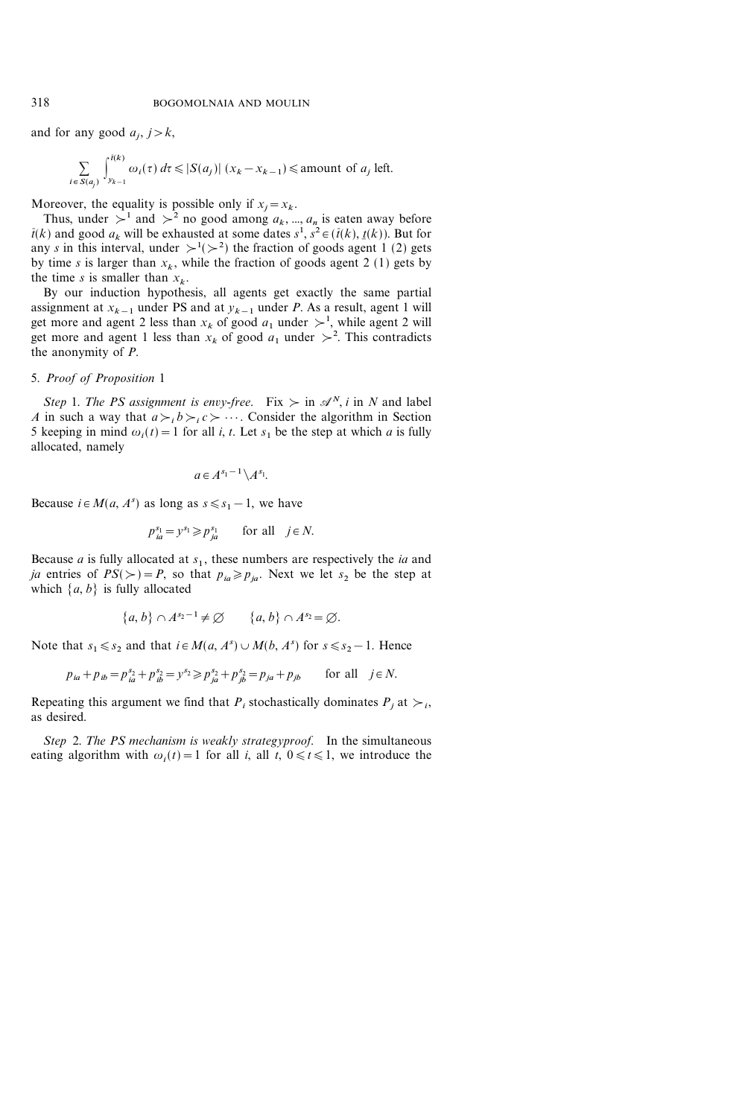and for any good  $a_j$ ,  $j > k$ ,

$$
\sum_{i \in S(a_j)} \int_{y_{k-1}}^{i(k)} \omega_i(\tau) d\tau \leq |S(a_j)| (x_k - x_{k-1}) \leq \text{amount of } a_j \text{ left.}
$$

Moreover, the equality is possible only if  $x_i = x_k$ .

Thus, under  $>^1$  and  $>^2$  no good among  $a_k$ , ...,  $a_n$  is eaten away before  $\bar{t}(k)$  and good  $a_k$  will be exhausted at some dates  $s^1, s^2 \in (\bar{t}(k), \underline{t}(k))$ . But for ֖֖֚֚֚֚֚֚֚֚֚֚֚֚֚֚֚֚֚֚֚֚֚֚֡֝֝֝֝֝֝֝֬֝֬֝֝֬֝֓֬֝֓֬֝֓֬ any s in this interval, under  $\geq^1$ ( $\geq^2$ ) the fraction of goods agent 1 (2) gets by time s is larger than  $x_k$ , while the fraction of goods agent 2 (1) gets by the time s is smaller than  $x_k$ .

By our induction hypothesis, all agents get exactly the same partial assignment at  $x_{k-1}$  under PS and at  $y_{k-1}$  under P. As a result, agent 1 will get more and agent 2 less than  $x_k$  of good  $a_1$  under  $\geq 1$ , while agent 2 will get more and agent 1 less than  $x_k$  of good  $a_1$  under  $\geq^2$ . This contradicts the anonymity of P.

### 5. Proof of Proposition 1

Step 1. The PS assignment is envy-free. Fix  $>$  in  $\mathcal{A}^N$ , i in N and label A in such a way that  $a >_i b >_i c > \cdots$ . Consider the algorithm in Section 5 keeping in mind  $\omega_i(t)=1$  for all i, t. Let  $s_1$  be the step at which a is fully allocated, namely

$$
a\in A^{s_1-1}\backslash A^{s_1}.
$$

Because  $i \in M(a, A^s)$  as long as  $s \leq s_1 - 1$ , we have

$$
p_{ia}^{s_1} = y^{s_1} \ge p_{ja}^{s_1} \qquad \text{for all} \quad j \in N.
$$

Because  $a$  is fully allocated at  $s_1$ , these numbers are respectively the *ia* and *ja* entries of  $PS(\geq)=P$ , so that  $p_{ia}\geq p_{ia}$ . Next we let  $s_2$  be the step at which  $\{a, b\}$  is fully allocated

$$
\{a, b\} \cap A^{s_2 - 1} \neq \varnothing \qquad \{a, b\} \cap A^{s_2} = \varnothing.
$$

Note that  $s_1 \le s_2$  and that  $i \in M(a, A^s) \cup M(b, A^s)$  for  $s \le s_2 - 1$ . Hence

$$
p_{ia} + p_{ib} = p_{ia}^{s_2} + p_{ib}^{s_2} = y^{s_2} \ge p_{ja}^{s_2} + p_{jb}^{s_2} = p_{ja} + p_{jb} \qquad \text{for all} \quad j \in N.
$$

Repeating this argument we find that  $P_i$  stochastically dominates  $P_i$  at  $\gt_i$ , as desired.

Step 2. The PS mechanism is weakly strategyproof. In the simultaneous eating algorithm with  $\omega_i(t)=1$  for all i, all t,  $0 \le t \le 1$ , we introduce the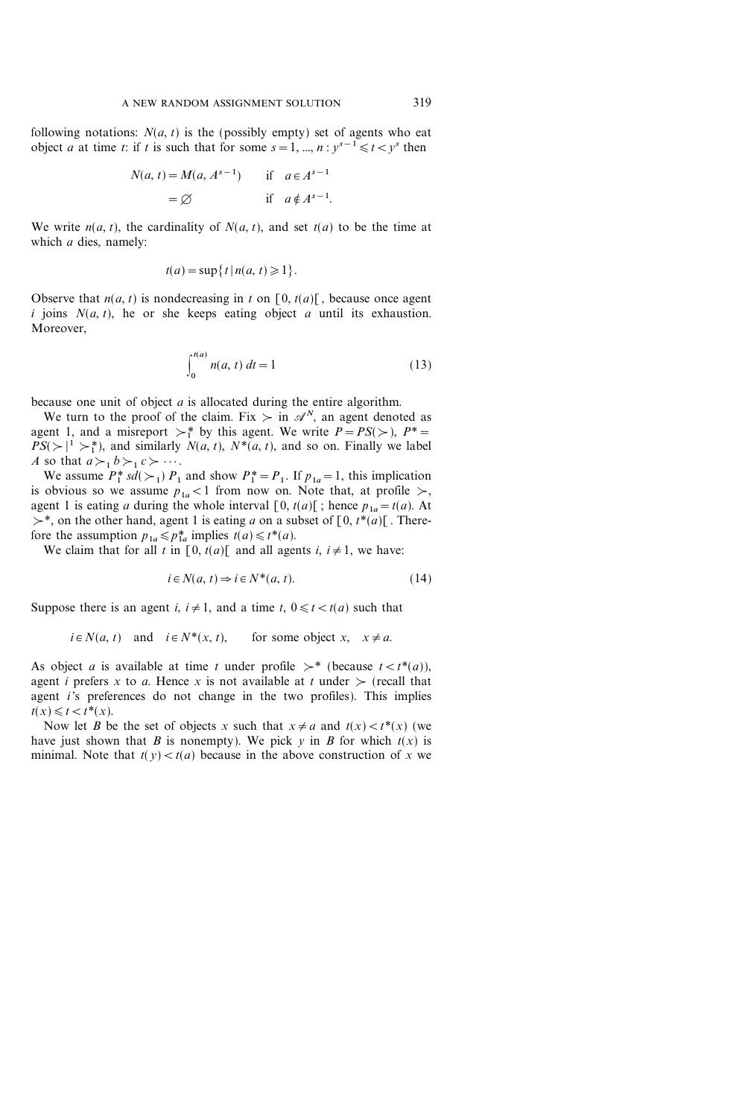following notations:  $N(a, t)$  is the (possibly empty) set of agents who eat object a at time t: if t is such that for some  $s = 1, ..., n : y^{s-1} \le t < y^s$  then

$$
N(a, t) = M(a, A^{s-1}) \quad \text{if} \quad a \in A^{s-1}
$$

$$
= \varnothing \quad \text{if} \quad a \notin A^{s-1}.
$$

We write  $n(a, t)$ , the cardinality of  $N(a, t)$ , and set  $t(a)$  to be the time at which *a* dies, namely:

$$
t(a) = \sup\{t \mid n(a, t) \geq 1\}.
$$

Observe that  $n(a, t)$  is nondecreasing in t on [0,  $t(a)$ ], because once agent i joins  $N(a, t)$ , he or she keeps eating object a until its exhaustion. Moreover,

$$
\int_0^{t(a)} n(a, t) \, dt = 1 \tag{13}
$$

because one unit of object  $a$  is allocated during the entire algorithm.

We turn to the proof of the claim. Fix  $>$  in  $\mathscr{A}^N$ , an agent denoted as agent 1, and a misreport  $\succ_1^*$  by this agent. We write  $P=PS(\succ)$ ,  $P^*=\succ$  $PS(\geq)$ <sup>1</sup> $\geq$ <sup>\*</sup><sub>1</sub>), and similarly  $N(a, t)$ ,  $N^*(a, t)$ , and so on. Finally we label A so that  $a >_1 b >_1 c > \cdots$ .

We assume  $P_1^*$  sd( $>_1$ )  $P_1$  and show  $P_1^* = P_1$ . If  $p_{1a} = 1$ , this implication is obvious so we assume  $p_{1a}$ <1 from now on. Note that, at profile  $\succ$ , agent 1 is eating a during the whole interval [0,  $t(a)$ ]; hence  $p_{1a} = t(a)$ . At  $\succ^*$ , on the other hand, agent 1 is eating a on a subset of  $[0, t^*(a)]$ . Therefore the assumption  $p_{1a} \leq p_{1a}^*$  implies  $t(a) \leq t^*(a)$ .

We claim that for all t in [0, t(a)] and all agents i,  $i \neq 1$ , we have:

$$
i \in N(a, t) \Rightarrow i \in N^*(a, t). \tag{14}
$$

Suppose there is an agent i,  $i \neq 1$ , and a time t,  $0 \le t < t(a)$  such that

$$
i \in N(a, t)
$$
 and  $i \in N^*(x, t)$ , for some object x,  $x \neq a$ .

As object *a* is available at time *t* under profile  $\gt^*$  (because  $t < t^*(a)$ ), agent *i* prefers x to a. Hence x is not available at t under  $\ge$  (recall that agent  $i$ 's preferences do not change in the two profiles). This implies  $t(x) \leq t < t^*(x)$ .

Now let B be the set of objects x such that  $x \neq a$  and  $t(x) < t^*(x)$  (we have just shown that B is nonempty). We pick y in B for which  $t(x)$  is minimal. Note that  $t(y) < t(a)$  because in the above construction of x we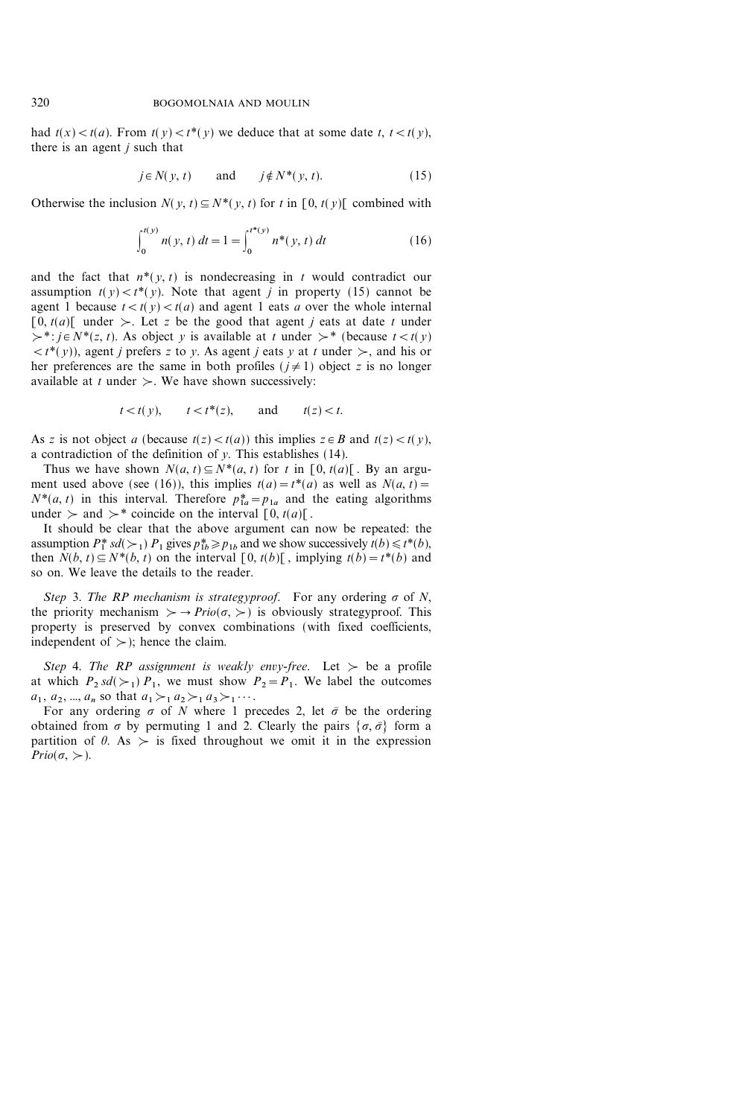had  $t(x) < t(a)$ . From  $t(y) < t^*(y)$  we deduce that at some date t,  $t < t(y)$ , there is an agent  $j$  such that

$$
j \in N(y, t)
$$
 and  $j \notin N^*(y, t)$ . (15)

Otherwise the inclusion  $N(y, t) \subseteq N^*(y, t)$  for t in [0, t(y)[ combined with

$$
\int_0^{t(y)} n(y, t) dt = 1 = \int_0^{t^*(y)} n^*(y, t) dt
$$
 (16)

and the fact that  $n^*(y, t)$  is nondecreasing in t would contradict our assumption  $t(y) < t^*(y)$ . Note that agent j in property (15) cannot be agent 1 because  $t < t(y) < t(a)$  and agent 1 eats a over the whole internal  $[0, t(a)]$  under  $\geq$ . Let z be the good that agent j eats at date t under  $\geq^*$ :  $j \in N^*(z, t)$ . As object y is available at t under  $\geq^*$  (because  $t < t(y)$ )  $\langle t^*(y) \rangle$ , agent *j* prefers z to y. As agent *j* eats y at t under  $\rangle$ , and his or her preferences are the same in both profiles ( $j \neq 1$ ) object z is no longer available at t under  $\geq$ . We have shown successively:

$$
t < t(y), \qquad t < t^*(z), \qquad \text{and} \qquad t(z) < t.
$$

As z is not object a (because  $t(z) < t(a)$ ) this implies  $z \in B$  and  $t(z) < t(y)$ , a contradiction of the definition of  $\nu$ . This establishes (14).

Thus we have shown  $N(a, t) \subseteq N^*(a, t)$  for t in [0, t(a)[. By an argument used above (see (16)), this implies  $t(a) = t^*(a)$  as well as  $N(a, t) =$  $N^*(a, t)$  in this interval. Therefore  $p_{1a}^* = p_{1a}$  and the eating algorithms under  $>$  and  $>$ \* coincide on the interval  $[0, t(a)]$ .

It should be clear that the above argument can now be repeated: the assumption  $P_1^*$  sd( $\geq 1$ )  $P_1$  gives  $p_{1b}^* \geq p_{1b}$  and we show successively  $t(b) \leq t^*(b)$ , then  $N(b, t) \subseteq N^*(b, t)$  on the interval  $[0, t(b)]$ , implying  $t(b) = t^*(b)$  and so on. We leave the details to the reader.

Step 3. The RP mechanism is strategyproof. For any ordering  $\sigma$  of N, the priority mechanism  $\rangle \rightarrow \text{Prio}(\sigma, \rangle)$  is obviously strategyproof. This property is preserved by convex combinations (with fixed coefficients, independent of  $\rangle$ ; hence the claim.

Step 4. The RP assignment is weakly envy-free. Let  $>$  be a profile at which  $P_2 sd(\succ_1) P_1$ , we must show  $P_2 = P_1$ . We label the outcomes  $a_1, a_2, ..., a_n$  so that  $a_1 > a_2 > a_3 > a_1 \cdots$ .

For any ordering  $\sigma$  of N where 1 precedes 2, let  $\bar{\sigma}$  be the ordering obtained from  $\sigma$  by permuting 1 and 2. Clearly the pairs  $\{\sigma, \bar{\sigma}\}\$  form a partition of  $\theta$ . As  $>$  is fixed throughout we omit it in the expression  $Prio(\sigma, \rangle).$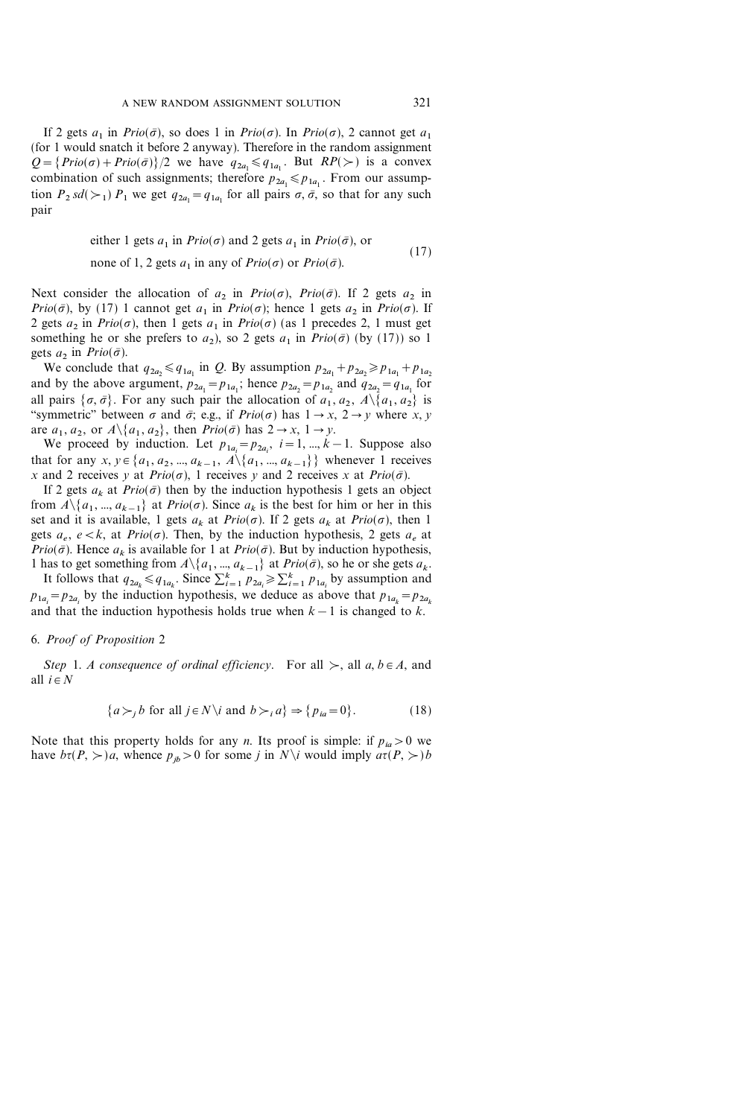If 2 gets  $a_1$  in Prio( $\bar{\sigma}$ ), so does 1 in Prio( $\sigma$ ). In Prio( $\sigma$ ), 2 cannot get  $a_1$ (for 1 would snatch it before 2 anyway). Therefore in the random assignment  $Q = \{Prio(\sigma) + Prio(\bar{\sigma})\}/2$  we have  $q_{2a_1} \leq q_{1a_1}$ . But  $RP(\geq)$  is a convex combination of such assignments; therefore  $p_{2a_1} \leq p_{1a_1}$ . From our assumption  $P_2 sd(\succ_1) P_1$  we get  $q_{2a_1} = q_{1a_1}$  for all pairs  $\sigma$ ,  $\bar{\sigma}$ , so that for any such pair

either 1 gets 
$$
a_1
$$
 in  $Prio(\sigma)$  and 2 gets  $a_1$  in  $Prio(\bar{\sigma})$ , or  
none of 1, 2 gets  $a_1$  in any of  $Prio(\sigma)$  or  $Prio(\bar{\sigma})$ . (17)

Next consider the allocation of  $a_2$  in Prio( $\sigma$ ), Prio( $\bar{\sigma}$ ). If 2 gets  $a_2$  in Prio( $\bar{\sigma}$ ), by (17) 1 cannot get  $a_1$  in Prio( $\sigma$ ); hence 1 gets  $a_2$  in Prio( $\sigma$ ). If 2 gets  $a_2$  in  $Prio(\sigma)$ , then 1 gets  $a_1$  in  $Prio(\sigma)$  (as 1 precedes 2, 1 must get something he or she prefers to  $a_2$ ), so 2 gets  $a_1$  in Prio( $\bar{\sigma}$ ) (by (17)) so 1 gets  $a_2$  in  $Prio(\bar{\sigma})$ .

We conclude that  $q_{2a_2} \leq q_{1a_1}$  in Q. By assumption  $p_{2a_1} + p_{2a_2} \geq p_{1a_1} + p_{1a_2}$ and by the above argument,  $p_{2a_1} = p_{1a_1}$ ; hence  $p_{2a_2} = p_{1a_2}$  and  $q_{2a_2} = q_{1a_1}$  for all pairs  $\{\sigma, \bar{\sigma}\}.$  For any such pair the allocation of  $a_1, a_2, A \setminus \{a_1, a_2\}$  is "symmetric" between  $\sigma$  and  $\bar{\sigma}$ ; e.g., if  $Prio(\sigma)$  has  $1 \rightarrow x$ ,  $2 \rightarrow y$  where x, y are  $a_1, a_2$ , or  $A \setminus \{a_1, a_2\}$ , then  $Prio(\bar{\sigma})$  has  $2 \rightarrow x$ ,  $1 \rightarrow y$ .

We proceed by induction. Let  $p_{1a_i} = p_{2a_i}$ ,  $i = 1, ..., k-1$ . Suppose also that for any  $x, y \in \{a_1, a_2, ..., a_{k-1}, A \setminus \{a_1, ..., a_{k-1}\}\}\$  whenever 1 receives x and 2 receives y at  $Prio(\sigma)$ , 1 receives y and 2 receives x at  $Prio(\bar{\sigma})$ .

If 2 gets  $a_k$  at  $Prio(\bar{\sigma})$  then by the induction hypothesis 1 gets an object from  $A \setminus \{a_1, ..., a_{k-1}\}\$  at  $Prio(\sigma)$ . Since  $a_k$  is the best for him or her in this set and it is available, 1 gets  $a_k$  at Prio( $\sigma$ ). If 2 gets  $a_k$  at Prio( $\sigma$ ), then 1 gets  $a_e$ ,  $e < k$ , at Prio( $\sigma$ ). Then, by the induction hypothesis, 2 gets  $a_e$  at Prio( $\bar{\sigma}$ ). Hence  $a_k$  is available for 1 at Prio( $\bar{\sigma}$ ). But by induction hypothesis, 1 has to get something from  $A \setminus \{a_1, ..., a_{k-1}\}$  at  $Prio(\bar{\sigma})$ , so he or she gets  $a_k$ .

It follows that  $q_{2a_k} \leq q_{1a_k}$ . Since  $\sum_{i=1}^k p_{2a_i} \geq \sum_{i=1}^k p_{1a_i}$  by assumption and  $p_{1a_i} = p_{2a_i}$  by the induction hypothesis, we deduce as above that  $p_{1a_k} = p_{2a_k}$ and that the induction hypothesis holds true when  $k-1$  is changed to k.

## 6. Proof of Proposition 2

Step 1. A consequence of ordinal efficiency. For all  $\ge$ , all  $a, b \in A$ , and all  $i \in N$ 

$$
\{a \succ_j b \text{ for all } j \in N \setminus i \text{ and } b \succ_i a\} \Rightarrow \{p_{ia} = 0\}.
$$
 (18)

Note that this property holds for any *n*. Its proof is simple: if  $p_{ia} > 0$  we have  $b\tau(P,>)a$ , whence  $p_{ib}>0$  for some j in N $\iota$  would imply  $a\tau(P,>)b$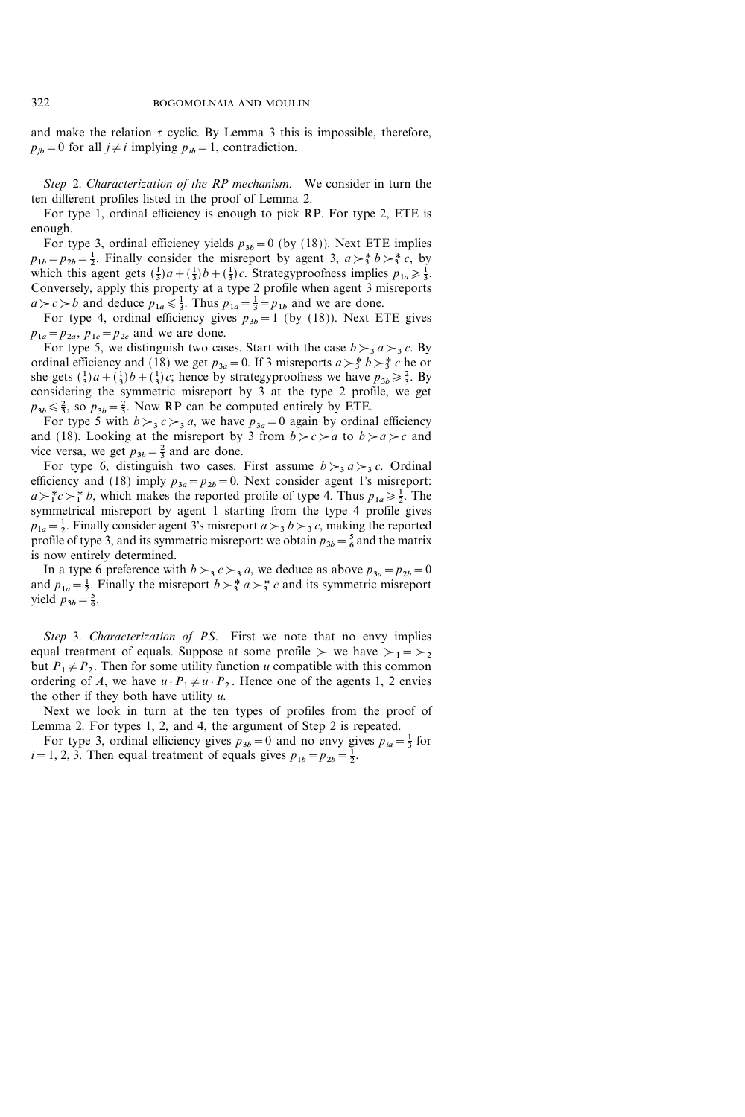and make the relation  $\tau$  cyclic. By Lemma 3 this is impossible, therefore,  $p_{ib}=0$  for all  $j \neq i$  implying  $p_{ib}=1$ , contradiction.

Step 2. Characterization of the RP mechanism. We consider in turn the ten different profiles listed in the proof of Lemma 2.

For type 1, ordinal efficiency is enough to pick RP. For type 2, ETE is enough.

For type 3, ordinal efficiency yields  $p_{3b}=0$  (by (18)). Next ETE implies  $p_{1b} = p_{2b} = \frac{1}{2}$ . Finally consider the misreport by agent 3,  $a > \frac{4}{3} b > \frac{4}{3} c$ , by which this agent gets  $(\frac{1}{3})a + (\frac{1}{3})b + (\frac{1}{3})c$ . Strategyproofness implies  $p_{1a} \ge \frac{1}{3}$ . Conversely, apply this property at a type 2 profile when agent 3 misreports  $a > c > b$  and deduce  $p_{1a} \le \frac{1}{3}$ . Thus  $p_{1a} = \frac{1}{3} = p_{1b}$  and we are done.

For type 4, ordinal efficiency gives  $p_{3b}=1$  (by (18)). Next ETE gives  $p_{1a} = p_{2a}$ ,  $p_{1c} = p_{2c}$  and we are done.

For type 5, we distinguish two cases. Start with the case  $b > 0$  as an approximate. ordinal efficiency and (18) we get  $p_{3a} = 0$ . If 3 misreports  $a > \frac{4}{3} b > \frac{2}{3} c$  he or she gets  $(\frac{1}{3})a + (\frac{1}{3})b + (\frac{1}{3})c$ ; hence by strategyproofness we have  $p_{3b} \ge \frac{2}{3}$ . By considering the symmetric misreport by 3 at the type 2 profile, we get  $p_{3b} \leq \frac{2}{3}$ , so  $p_{3b} = \frac{2}{3}$ . Now RP can be computed entirely by ETE.

For type 5 with  $b > 3$  c  $> 3$  a, we have  $p_{3a} = 0$  again by ordinal efficiency and (18). Looking at the misreport by 3 from  $b>c>a$  to  $b>a>c$  and vice versa, we get  $p_{3b} = \frac{2}{3}$  and are done.

For type 6, distinguish two cases. First assume  $b >_3 a >_3 c$ . Ordinal efficiency and (18) imply  $p_{3a} = p_{2b} = 0$ . Next consider agent 1's misreport:  $a \rightarrow_1^* c \rightarrow_1^* b$ , which makes the reported profile of type 4. Thus  $p_{1a} \ge \frac{1}{2}$ . The symmetrical misreport by agent 1 starting from the type 4 profile gives  $p_{1a} = \frac{1}{2}$ . Finally consider agent 3's misreport  $a > 3$   $b > 3$  c, making the reported profile of type 3, and its symmetric misreport: we obtain  $p_{3b} = \frac{5}{6}$  and the matrix is now entirely determined.

In a type 6 preference with  $b > 3$  c  $> 3$  a, we deduce as above  $p_{3a} = p_{2b} = 0$ and  $p_{1a} = \frac{1}{2}$ . Finally the misreport  $b > \frac{2}{3}$  a  $\geq \frac{2}{3}$  c and its symmetric misreport yield  $p_{3b} = \frac{5}{6}$ .

Step 3. Characterization of PS. First we note that no envy implies equal treatment of equals. Suppose at some profile  $\triangleright$  we have  $\triangleright$  =  $\triangleright$ , but  $P_1 \neq P_2$ . Then for some utility function u compatible with this common ordering of A, we have  $u \cdot P_1 \neq u \cdot P_2$ . Hence one of the agents 1, 2 envies the other if they both have utility  $u$ .

Next we look in turn at the ten types of profiles from the proof of Lemma 2. For types 1, 2, and 4, the argument of Step 2 is repeated.

For type 3, ordinal efficiency gives  $p_{3b} = 0$  and no envy gives  $p_{ia} = \frac{1}{3}$  for  $i=1, 2, 3$ . Then equal treatment of equals gives  $p_{1b}=p_{2b}=\frac{1}{2}$ .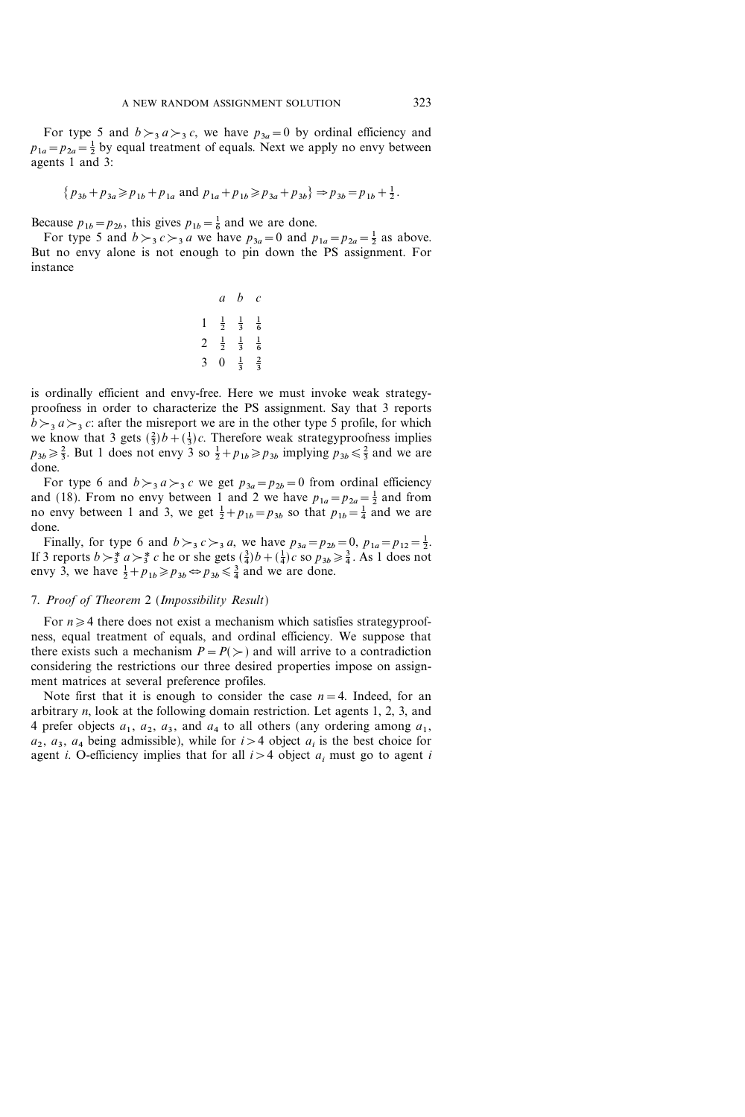For type 5 and  $b >_3 a >_3 c$ , we have  $p_{3a}=0$  by ordinal efficiency and  $p_{1a} = p_{2a} = \frac{1}{2}$  by equal treatment of equals. Next we apply no envy between agents  $\frac{2}{3}$  and  $\frac{3}{3}$ :

$$
\{p_{3b} + p_{3a} \ge p_{1b} + p_{1a} \text{ and } p_{1a} + p_{1b} \ge p_{3a} + p_{3b} \} \Rightarrow p_{3b} = p_{1b} + \frac{1}{2}.
$$

Because  $p_{1b} = p_{2b}$ , this gives  $p_{1b} = \frac{1}{6}$  and we are done.

For type 5 and  $b >_3 c >_3 a$  we have  $p_{3a} = 0$  and  $p_{1a} = p_{2a} = \frac{1}{2}$  as above. But no envy alone is not enough to pin down the PS assignment. For instance

|   | a             | b             | c             |
|---|---------------|---------------|---------------|
| 1 | $\frac{1}{2}$ | $\frac{1}{3}$ | $\frac{1}{6}$ |
| 2 | $\frac{1}{2}$ | $\frac{1}{3}$ | $\frac{1}{6}$ |
| 3 | 0             | $\frac{1}{3}$ | $\frac{2}{3}$ |

is ordinally efficient and envy-free. Here we must invoke weak strategyproofness in order to characterize the PS assignment. Say that 3 reports  $b > a<sub>3</sub> c$ : after the misreport we are in the other type 5 profile, for which we know that 3 gets  $(\frac{2}{3})b + (\frac{1}{3})c$ . Therefore weak strategyproofness implies  $p_{3b} \geq \frac{2}{3}$ . But 1 does not envy 3 so  $\frac{1}{2} + p_{1b} \geq p_{3b}$  implying  $p_{3b} \leq \frac{2}{3}$  and we are done.

For type 6 and  $b > 3$  a  $\geq 3$  c we get  $p_{3a} = p_{2b} = 0$  from ordinal efficiency and (18). From no envy between 1 and 2 we have  $p_{1a} = p_{2a} = \frac{1}{2}$  and from no envy between 1 and 3, we get  $\frac{1}{2} + p_{1b} = p_{3b}$  so that  $p_{1b} = \frac{1}{4}$  and we are done.

Finally, for type 6 and  $b > 3$  c  $> 3$  a, we have  $p_{3a} = p_{2b} = 0$ ,  $p_{1a} = p_{12} = \frac{1}{2}$ . If 3 reports  $b > \frac{2}{3}$   $a > \frac{2}{3}$  c he or she gets  $(\frac{3}{4})b + (\frac{1}{4})c$  so  $p_{3b} \ge \frac{3}{4}$ . As 1 does not envy 3, we have  $\frac{1}{2} + p_{1b} \geq p_{3b} \Leftrightarrow p_{3b} \leq \frac{3}{4}$  and we are done.

### 7. Proof of Theorem 2 (Impossibility Result)

For  $n \geq 4$  there does not exist a mechanism which satisfies strategyproofness, equal treatment of equals, and ordinal efficiency. We suppose that there exists such a mechanism  $P = P(\ge)$  and will arrive to a contradiction considering the restrictions our three desired properties impose on assignment matrices at several preference profiles.

Note first that it is enough to consider the case  $n=4$ . Indeed, for an arbitrary n, look at the following domain restriction. Let agents 1, 2, 3, and 4 prefer objects  $a_1$ ,  $a_2$ ,  $a_3$ , and  $a_4$  to all others (any ordering among  $a_1$ ,  $a_2$ ,  $a_3$ ,  $a_4$  being admissible), while for  $i>4$  object  $a_i$  is the best choice for agent *i*. O-efficiency implies that for all  $i > 4$  object  $a_i$  must go to agent *i*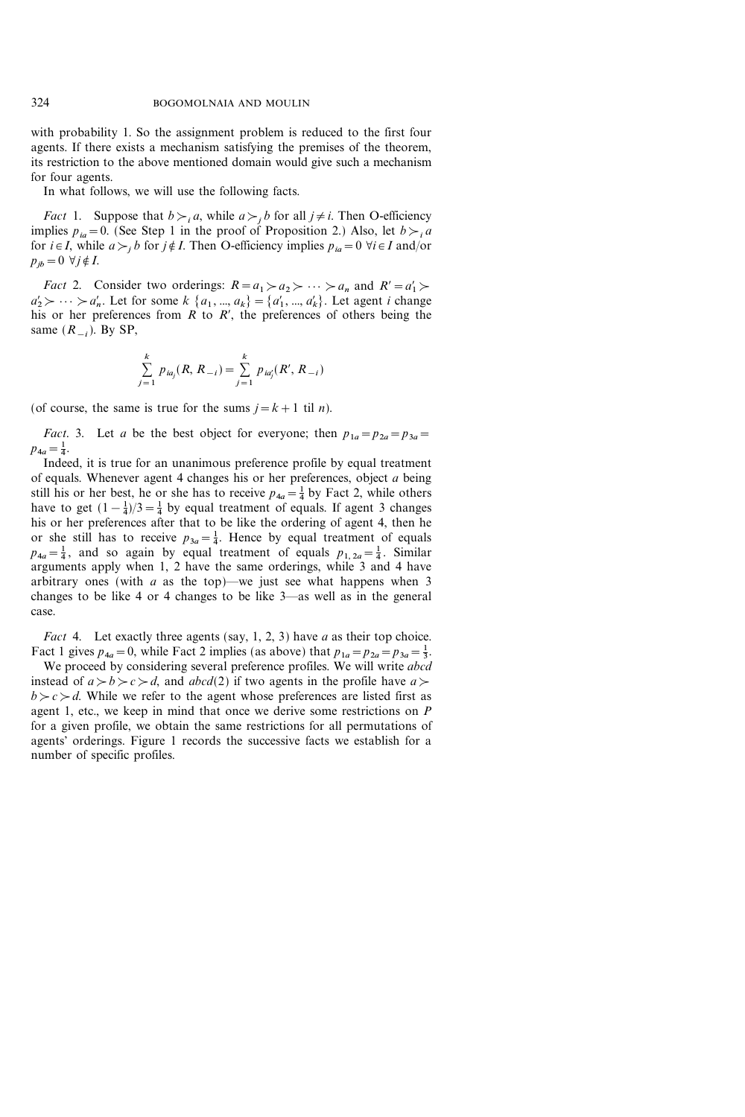with probability 1. So the assignment problem is reduced to the first four agents. If there exists a mechanism satisfying the premises of the theorem, its restriction to the above mentioned domain would give such a mechanism for four agents.

In what follows, we will use the following facts.

*Fact* 1. Suppose that  $b > a$ , while  $a > b$  for all  $j \neq i$ . Then O-efficiency implies  $p_{ia}=0$ . (See Step 1 in the proof of Proposition 2.) Also, let  $b > a$ for  $i \in I$ , while  $a \succ_i b$  for  $j \notin I$ . Then O-efficiency implies  $p_{ia} = 0 \ \forall i \in I$  and/or  $p_{ib}=0 \ \forall j \notin I$ .

*Fact* 2. Consider two orderings:  $R = a_1 > a_2 > \cdots > a_n$  and  $R' = a'_1 > a'_2$  $a'_2 \rangle \sim \cdots \rangle a'_n$ . Let for some  $k \{a_1, ..., a_k\} = \{a'_1, ..., a'_k\}$ . Let agent *i* change his or her preferences from  $R$  to  $R'$ , the preferences of others being the same  $(R_{-i})$ . By SP,

$$
\sum_{j=1}^{k} p_{ia_j}(R, R_{-i}) = \sum_{j=1}^{k} p_{ia'_j}(R', R_{-i})
$$

(of course, the same is true for the sums  $j=k+1$  til n).

*Fact.* 3. Let a be the best object for everyone; then  $p_{1a} = p_{2a} = p_{3a}$  $p_{4a} = \frac{1}{4}.$ 

Indeed, it is true for an unanimous preference profile by equal treatment of equals. Whenever agent 4 changes his or her preferences, object a being still his or her best, he or she has to receive  $p_{4a} = \frac{1}{4}$  by Fact 2, while others have to get  $(1 - \frac{1}{4})/3 = \frac{1}{4}$  by equal treatment of equals. If agent 3 changes his or her preferences after that to be like the ordering of agent 4, then he or she still has to receive  $p_{3a} = \frac{1}{4}$ . Hence by equal treatment of equals  $p_{4a} = \frac{1}{4}$ , and so again by equal treatment of equals  $p_{1, 2a} = \frac{1}{4}$ . Similar arguments apply when 1, 2 have the same orderings, while 3 and 4 have arbitrary ones (with  $a$  as the top)—we just see what happens when 3 changes to be like 4 or 4 changes to be like  $3$ —as well as in the general case.

Fact 4. Let exactly three agents (say, 1, 2, 3) have a as their top choice. Fact 1 gives  $p_{4a} = 0$ , while Fact 2 implies (as above) that  $p_{1a} = p_{2a} = p_{3a} = \frac{1}{3}$ .

We proceed by considering several preference profiles. We will write *abcd* instead of  $a > b > c > d$ , and  $abcd(2)$  if two agents in the profile have  $a > b$  $b>c>d$ . While we refer to the agent whose preferences are listed first as agent 1, etc., we keep in mind that once we derive some restrictions on P for a given profile, we obtain the same restrictions for all permutations of agents' orderings. Figure 1 records the successive facts we establish for a number of specific profiles.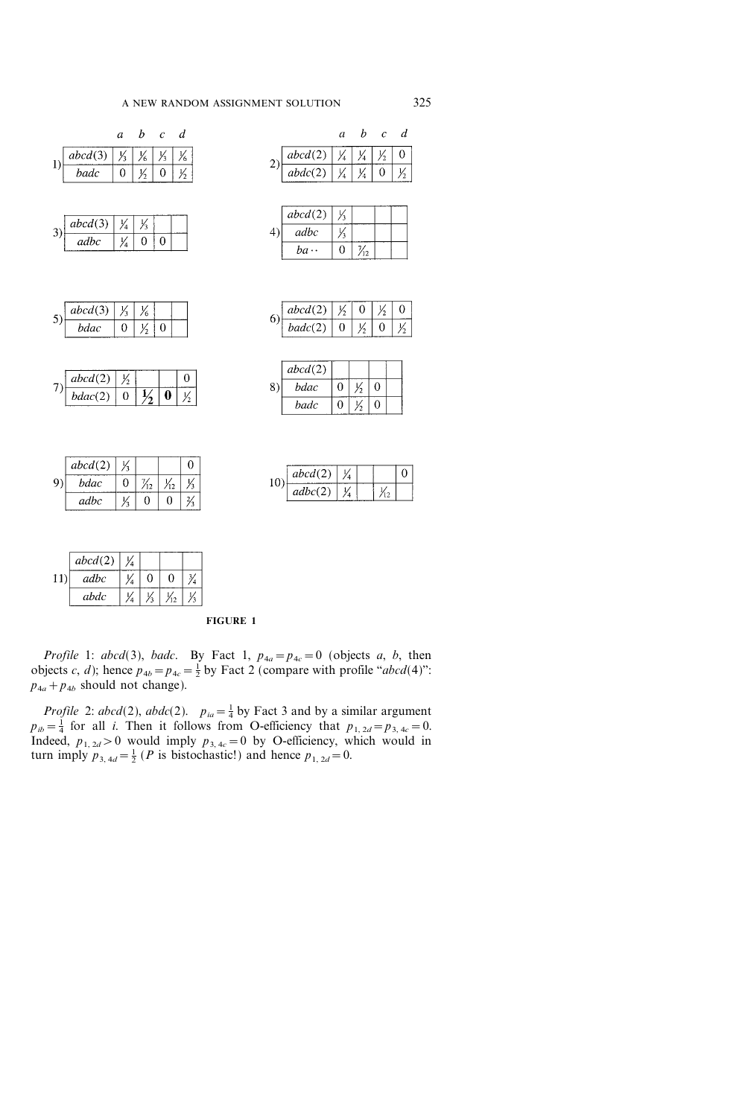|    |                              | $\boldsymbol{a}$                | b              | $\mathcal{C}$    | $\boldsymbol{d}$   |     |                         | $\overline{a}$   | b                              | $\boldsymbol{c}$ | $\boldsymbol{d}$ |
|----|------------------------------|---------------------------------|----------------|------------------|--------------------|-----|-------------------------|------------------|--------------------------------|------------------|------------------|
|    | abcd(3)                      | $\frac{1}{3}$                   | $\frac{1}{6}$  | Y <sub>3</sub>   | $\frac{1}{6}$      |     | abcd(2)                 | $\frac{1}{4}$    | 1⁄4                            | $\frac{1}{2}$    | $\boldsymbol{0}$ |
| 1) | badc                         | $\mathbf 0$                     | $\frac{1}{2}$  | 0                | $\frac{1}{2}$      | 2)  | abdc(2)                 | $\frac{1}{4}$    | 1⁄4                            | $\boldsymbol{0}$ | $\frac{1}{2}$    |
|    |                              |                                 |                |                  |                    |     |                         |                  |                                |                  |                  |
|    | abcd(3)                      | 1⁄4                             | $\frac{1}{3}$  |                  |                    |     | abcd(2)                 | $\frac{1}{3}$    |                                |                  |                  |
| 3) | adbc                         | Y,                              | $\overline{0}$ | $\mathbf 0$      |                    | 4)  | adbc                    | $\frac{1}{3}$    |                                |                  |                  |
|    |                              |                                 |                |                  |                    |     | $ba \cdot$              | $\boldsymbol{0}$ | $\frac{1}{2}$                  |                  |                  |
|    |                              |                                 |                |                  |                    |     |                         |                  |                                |                  |                  |
| 5) | abcd(3)                      | $\frac{1}{3}$                   | $\frac{1}{6}$  |                  |                    | 6)  | abcd(2)                 | $\frac{1}{2}$    | $\boldsymbol{0}$               | $\frac{1}{2}$    | 0                |
|    | bdac                         | $\mathbf 0$                     | $\frac{1}{2}$  | $\boldsymbol{0}$ |                    |     | badc(2)                 | $\boldsymbol{0}$ | $\frac{1}{2}$                  | 0                | $\frac{1}{2}$    |
| 7) | abcd(2)<br>bdac(2)           | $\frac{1}{2}$<br>$\overline{0}$ | $\frac{1}{2}$  | $\bf{0}$         | 0<br>$\frac{1}{2}$ | 8)  | abcd(2)<br>bdac<br>badc | $\bf{0}$<br>0    | $\frac{1}{2}$<br>$\frac{1}{2}$ | $\mathbf 0$<br>0 |                  |
|    | abcd(2)                      | $\frac{1}{3}$                   |                |                  | $\bf{0}$           |     |                         |                  |                                |                  |                  |
| 9) | bdac                         | $\mathbf 0$                     | $\frac{7}{2}$  | $\frac{1}{12}$   | $\frac{1}{3}$      | 10) | abcd(2)                 | $\frac{1}{4}$    |                                |                  | 0                |
|    | adbc                         | $\frac{1}{3}$                   | $\overline{0}$ | $\boldsymbol{0}$ | $\frac{2}{3}$      |     | $\overline{adbc(2)}$    | $\frac{1}{4}$    |                                | $\frac{1}{2}$    |                  |
|    | $\mathbf{r}$<br>$\mathbf{r}$ | $\sim$ $\sim$                   |                |                  |                    |     |                         |                  |                                |                  |                  |

| abcd(2) |  |  |
|---------|--|--|
| adbc    |  |  |
| abdc    |  |  |

### FIGURE 1

Profile 1: abcd(3), badc. By Fact 1,  $p_{4a} = p_{4c} = 0$  (objects a, b, then objects c, d); hence  $p_{4b}=p_{4c}=\frac{1}{2}$  by Fact 2 (compare with profile "abcd(4)":  $p_{4a} + p_{4b}$  should not change).

*Profile 2:*  $abcd(2)$ *,*  $abdc(2)$ *.*  $p_{ia} = \frac{1}{4}$  by Fact 3 and by a similar argument  $p_{ib} = \frac{1}{4}$  for all *i*. Then it follows from O-efficiency that  $p_{1, 2d} = p_{3, 4c} = 0$ . Indeed,  $p_{1, 2d} > 0$  would imply  $p_{3, 4c} = 0$  by O-efficiency, which would in turn imply  $p_{3,4d} = \frac{1}{2}$  (*P* is bistochastic!) and hence  $p_{1,2d} = 0$ .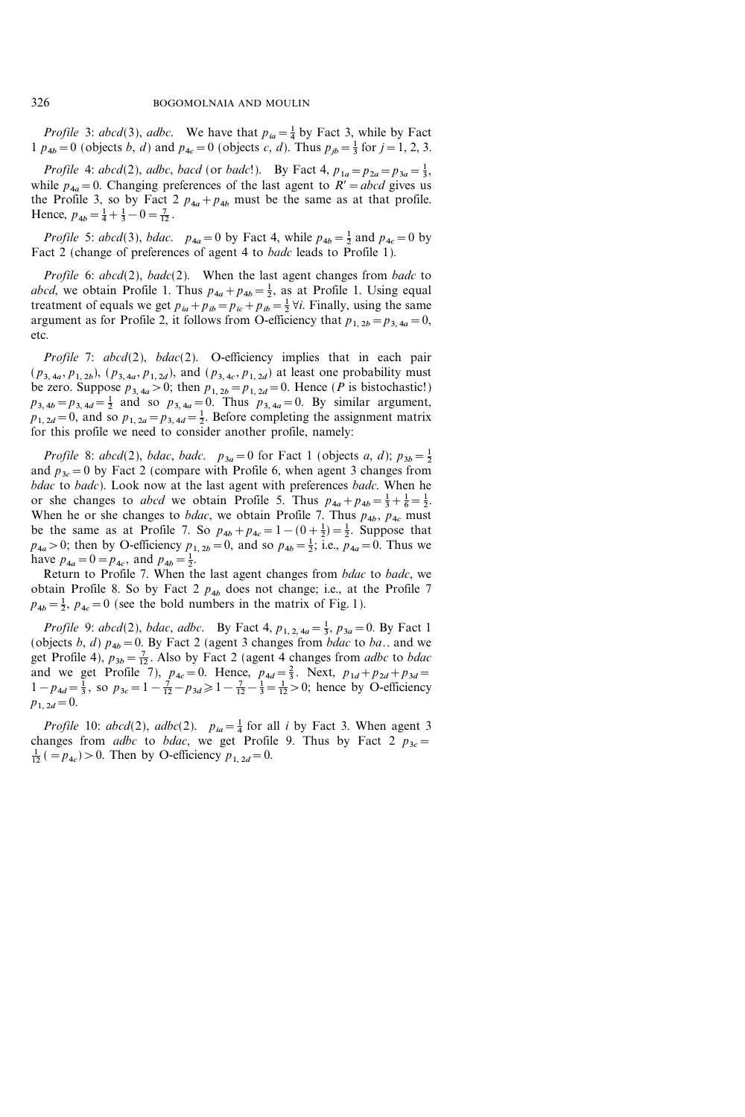*Profile* 3: *abcd*(3), *adbc*. We have that  $p_{ia} = \frac{1}{4}$  by Fact 3, while by Fact 1  $p_{4b} = 0$  (objects b, d) and  $p_{4c} = 0$  (objects c, d). Thus  $p_{jb} = \frac{1}{3}$  for  $j = 1, 2, 3$ .

*Profile* 4:  $abcd(2)$ ,  $adbc$ ,  $bacd$  (or  $badc$ ). By Fact 4,  $p_{1a} = p_{2a} = p_{3a} = \frac{1}{3}$ , while  $p_{4a}=0$ . Changing preferences of the last agent to  $R'=abcd$  gives us the Profile 3, so by Fact 2  $p_{4a} + p_{4b}$  must be the same as at that profile. Hence,  $p_{4b} = \frac{1}{4} + \frac{1}{3} - 0 = \frac{7}{12}$ .

*Profile* 5: abcd(3), bdac.  $p_{4a} = 0$  by Fact 4, while  $p_{4b} = \frac{1}{2}$  and  $p_{4c} = 0$  by Fact 2 (change of preferences of agent 4 to badc leads to Profile 1).

*Profile* 6:  $abcd(2)$ ,  $bad(2)$ . When the last agent changes from *badc* to *abcd*, we obtain Profile 1. Thus  $p_{4a} + p_{4b} = \frac{1}{2}$ , as at Profile 1. Using equal treatment of equals we get  $p_{ia} + p_{ib} = p_{ic} + p_{ib} = \frac{1}{2} \forall i$ . Finally, using the same argument as for Profile 2, it follows from O-efficiency that  $p_{1, 2b} = p_{3, 4a} = 0$ , etc.

*Profile 7:*  $abcd(2)$ *,*  $bdac(2)$ *.* O-efficiency implies that in each pair  $(p_{3,4a}, p_{1,2b})$ ,  $(p_{3,4a}, p_{1,2d})$ , and  $(p_{3,4c}, p_{1,2d})$  at least one probability must be zero. Suppose  $p_{3,4a} > 0$ ; then  $p_{1,2b} = p_{1,2d} = 0$ . Hence (*P* is bistochastic!)  $p_{3,4b}=p_{3,4d}=\frac{1}{2}$  and so  $p_{3,4a}=0$ . Thus  $p_{3,4a}=0$ . By similar argument,  $p_{1, 2d} = 0$ , and so  $p_{1, 2d} = p_{3, 4d} = \frac{1}{2}$ . Before completing the assignment matrix for this profile we need to consider another profile, namely:

*Profile* 8:  $abcd(2)$ ,  $bdac$ ,  $badc$ .  $p_{3a} = 0$  for Fact 1 (objects a, d);  $p_{3b} = \frac{1}{2}$ and  $p_{3c}=0$  by Fact 2 (compare with Profile 6, when agent 3 changes from bdac to badc). Look now at the last agent with preferences badc. When he or she changes to *abcd* we obtain Profile 5. Thus  $p_{4a} + p_{4b} = \frac{1}{3} + \frac{1}{6} = \frac{1}{2}$ . When he or she changes to *bdac*, we obtain Profile 7. Thus  $p_{4b}$ ,  $p_{4c}$  must be the same as at Profile 7. So  $p_{4b} + p_{4c} = 1 - (0 + \frac{1}{2}) = \frac{1}{2}$ . Suppose that  $p_{4a} > 0$ ; then by O-efficiency  $p_{1, 2b} = 0$ , and so  $p_{4b} = \frac{1}{2}$ ; i.e.,  $p_{4a} = 0$ . Thus we have  $p_{4a} = 0 = p_{4c}$ , and  $p_{4b} = \frac{1}{2}$ .

Return to Profile 7. When the last agent changes from *bdac* to *badc*, we obtain Profile 8. So by Fact 2  $p_{4b}$  does not change; i.e., at the Profile 7  $p_{4b} = \frac{1}{2}$ ,  $p_{4c} = 0$  (see the bold numbers in the matrix of Fig. 1).

*Profile* 9: abcd(2), bdac, adbc. By Fact 4,  $p_{1,2,4a} = \frac{1}{3}$ ,  $p_{3a} = 0$ . By Fact 1 (objects b, d)  $p_{4b} = 0$ . By Fact 2 (agent 3 changes from *bdac* to ba.. and we get Profile 4),  $p_{3b} = \frac{7}{12}$ . Also by Fact 2 (agent 4 changes from *adbc* to *bdac* and we get Profile 7),  $p_{4c} = 0$ . Hence,  $p_{4d} = \frac{2}{3}$ . Next,  $p_{1d} + p_{2d} + p_{3d} =$  $1-p_{4d}=\frac{1}{3}$ , so  $p_{3c}=1-\frac{7}{12}-p_{3d}\geqslant 1-\frac{7}{12}-\frac{1}{3}=\frac{1}{12}>0$ ; hence by O-efficiency  $p_{1, 2d}=0.$ 

*Profile* 10:  $abcd(2)$ ,  $adbc(2)$ .  $p_{ia} = \frac{1}{4}$  for all *i* by Fact 3. When agent 3 changes from *adbc* to *bdac*, we get Profile 9. Thus by Fact 2  $p_{3c}$  =  $\frac{1}{12}$  (=  $p_{4c}$ ) > 0. Then by O-efficiency  $p_{1, 2d} = 0$ .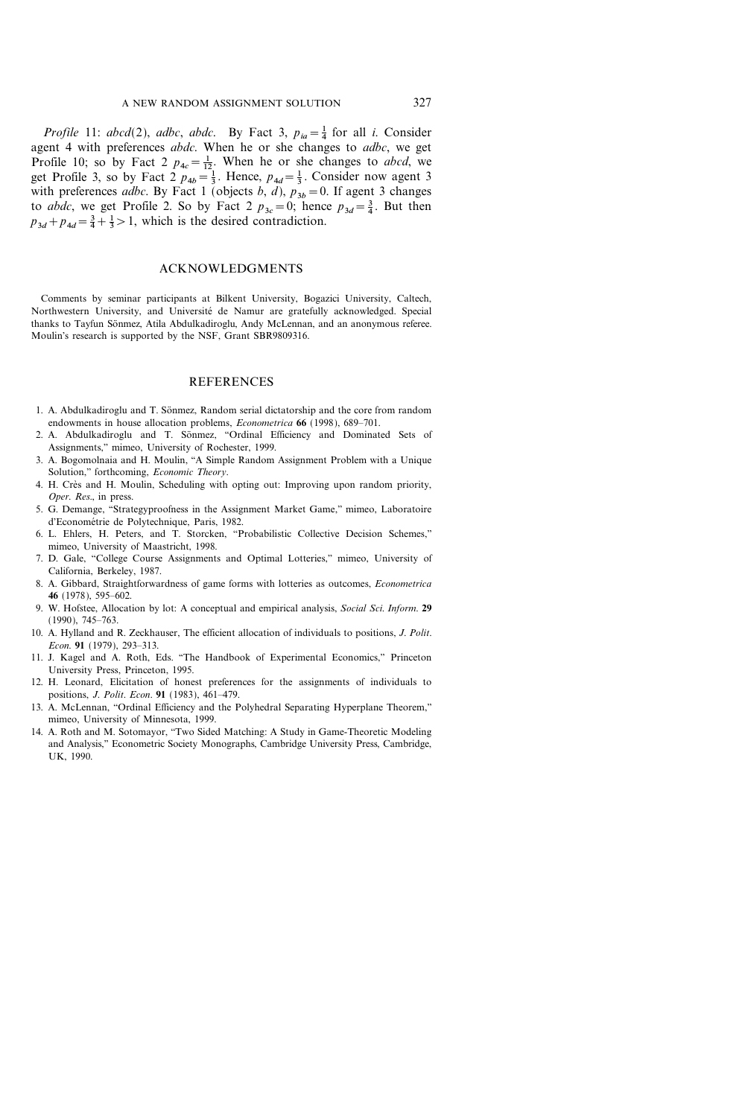*Profile* 11:  $abcd(2)$ ,  $adbc$ ,  $abdc$ . By Fact 3,  $p_{ia} = \frac{1}{4}$  for all *i*. Consider agent 4 with preferences abdc. When he or she changes to adbc, we get Profile 10; so by Fact 2  $p_{4c} = \frac{1}{12}$ . When he or she changes to *abcd*, we get Profile 3, so by Fact 2  $p_{4b} = \frac{1}{3}$ . Hence,  $p_{4d} = \frac{1}{3}$ . Consider now agent 3 with preferences *adbc*. By Fact 1 (objects b, d),  $p_{3b}=0$ . If agent 3 changes to *abdc*, we get Profile 2. So by Fact 2  $p_{3c} = 0$ ; hence  $p_{3d} = \frac{3}{4}$ . But then  $p_{3d} + p_{4d} = \frac{3}{4} + \frac{1}{3} > 1$ , which is the desired contradiction.

### ACKNOWLEDGMENTS

Comments by seminar participants at Bilkent University, Bogazici University, Caltech, Northwestern University, and Universite de Namur are gratefully acknowledged. Special thanks to Tayfun Sönmez, Atila Abdulkadiroglu, Andy McLennan, and an anonymous referee. Moulin's research is supported by the NSF, Grant SBR9809316.

#### REFERENCES

- 1. A. Abdulkadiroglu and T. Sönmez, Random serial dictatorship and the core from random endowments in house allocation problems, Econometrica 66 (1998), 689-701.
- 2. A. Abdulkadiroglu and T. Sönmez, "Ordinal Efficiency and Dominated Sets of Assignments,'' mimeo, University of Rochester, 1999.
- 3. A. Bogomolnaia and H. Moulin, "A Simple Random Assignment Problem with a Unique Solution," forthcoming, Economic Theory.
- 4. H. Crès and H. Moulin, Scheduling with opting out: Improving upon random priority, Oper. Res., in press.
- 5. G. Demange, "Strategyproofness in the Assignment Market Game," mimeo, Laboratoire d'Econométrie de Polytechnique, Paris, 1982.
- 6. L. Ehlers, H. Peters, and T. Storcken, "Probabilistic Collective Decision Schemes," mimeo, University of Maastricht, 1998.
- 7. D. Gale, "College Course Assignments and Optimal Lotteries," mimeo, University of California, Berkeley, 1987.
- 8. A. Gibbard, Straightforwardness of game forms with lotteries as outcomes, Econometrica 46 (1978), 595-602.
- 9. W. Hofstee, Allocation by lot: A conceptual and empirical analysis, Social Sci. Inform. 29  $(1990)$ , 745-763.
- 10. A. Hylland and R. Zeckhauser, The efficient allocation of individuals to positions, J. Polit. Econ. 91 (1979), 293-313.
- 11. J. Kagel and A. Roth, Eds. ``The Handbook of Experimental Economics,'' Princeton University Press, Princeton, 1995.
- 12. H. Leonard, Elicitation of honest preferences for the assignments of individuals to positions, *J. Polit. Econ.* 91 (1983), 461-479.
- 13. A. McLennan, "Ordinal Efficiency and the Polyhedral Separating Hyperplane Theorem," mimeo, University of Minnesota, 1999.
- 14. A. Roth and M. Sotomayor, "Two Sided Matching: A Study in Game-Theoretic Modeling and Analysis,'' Econometric Society Monographs, Cambridge University Press, Cambridge, UK, 1990.